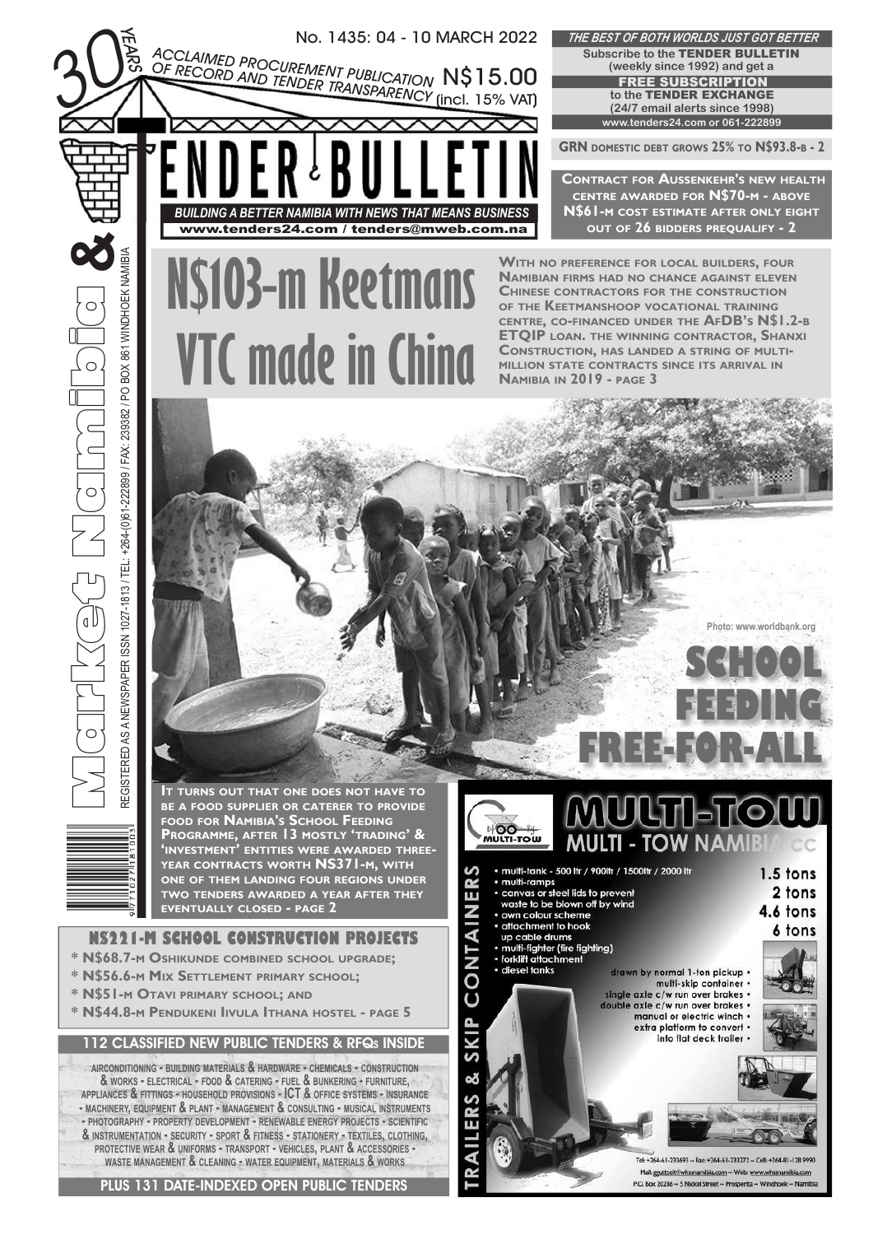

PLUS 131 DATE-INDEXED OPEN PUBLIC TENDERS

Tel: +264-61-233693 -- Fax: +264-61-233272 -- Cell: +264-81-128 999 Mail: gguttzeit@whssnamibia.com -- Web: www P.O. Box 20286 -- 5 Nickel Street -- Prosperita -- Windhoek -- Namibi

**Photo: www.worldbank.org**

**SCHOOL** 

 $1.5$  tons

4.6 tons

2 tons

6 tons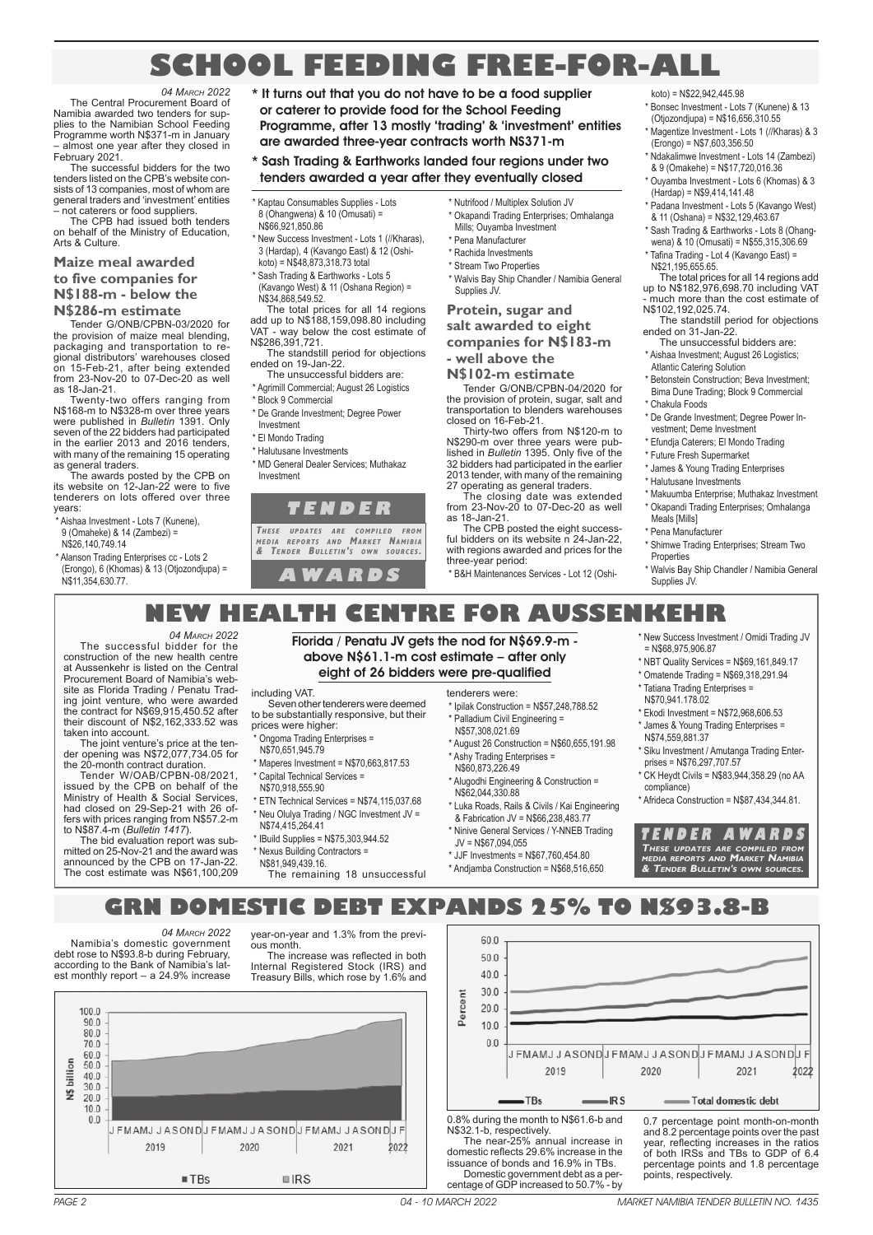## **SCHOOL FEEDING FREE-FOR-ALL**

*04 MARCH 2022* The Central Procurement Board of Namibia awarded two tenders for supplies to the Namibian School Feeding Programme worth N\$371-m in January – almost one year after they closed in February 2021.

The successful bidders for the two tenders listed on the CPB's website consists of 13 companies, most of whom are general traders and 'investment' entities – not caterers or food suppliers.

The CPB had issued both tenders on behalf of the Ministry of Education, Arts & Culture.

## **Maize meal awarded**

**to five companies for N\$188-m - below the N\$286-m estimate**

Tender G/ONB/CPBN-03/2020 for the provision of maize meal blending packaging and transportation to regional distributors' warehouses closed on 15-Feb-21, after being extended from 23-Nov-20 to 07-Dec-20 as well as 18-Jan-21.

Twenty-two offers ranging from N\$168-m to N\$328-m over three years were published in *Bulletin* 1391. Only seven of the 22 bidders had participated in the earlier 2013 and 2016 tenders, with many of the remaining 15 operating as general traders.

The awards posted by the CPB on its website on 12-Jan-22 were to five tenderers on lots offered over three years:

\* Aishaa Investment - Lots 7 (Kunene), 9 (Omaheke) & 14 (Zambezi) =

N\$26,140,749.14

taken into account.

\* Alanson Trading Enterprises cc - Lots 2 (Erongo), 6 (Khomas) & 13 (Otjozondjupa) = N\$11,354,630.77.

The successful bidder for the construction of the new health centre at Aussenkehr is listed on the Central Procurement Board of Namibia's website as Florida Trading / Penatu Trad-ing joint venture, who were awarded the contract for N\$69,915,450.52 after their discount of N\$2,162,333.52 was

The joint venture's price at the ten-der opening was N\$72,077,734.05 for the 20-month contract duration. Tender W/OAB/CPBN-08/2021, issued by the CPB on behalf of the Ministry of Health & Social Services, had closed on 29-Sep-21 with 26 offers with prices ranging from N\$57.2-m to N\$87.4-m (*Bulletin 1417*).

The bid evaluation report was submitted on 25-Nov-21 and the award was announced by the CPB on 17-Jan-22. The cost estimate was N\$61,100,209

*04 MARCH 2022*

\* It turns out that you do not have to be a food supplier or caterer to provide food for the School Feeding Programme, after 13 mostly 'trading' & 'investment' entities are awarded three-year contracts worth NS371-m

## \* Sash Trading & Earthworks landed four regions under two tenders awarded a year after they eventually closed

Kaptau Consumables Supplies - Lots 8 (Ohangwena) & 10 (Omusati) = N\$66,921,850.86

- \* New Success Investment Lots 1 (//Kharas), 3 (Hardap), 4 (Kavango East) & 12 (Oshikoto) = N\$48,873,318.73 total
- \* Sash Trading & Earthworks Lots 5

(Kavango West) & 11 (Oshana Region) = N\$34,868,549.52.

The total prices for all 14 regions add up to N\$188,159,098.80 including VAT - way below the cost estimate of N\$286,391,721.

- The standstill period for objections ended on 19-Jan-22.
- The unsuccessful bidders are:
- Agrimill Commercial; August 26 Logistics \* Block 9 Commercial
- \* De Grande Investment; Degree Power Investment
- \* El Mondo Trading
- \* Halutusane Investments
- \* MD General Dealer Services; Muthakaz Investment

## **T E N D E R**

THESE UPDATES ARE COMPILED FROM<br>MEDIA REPORTS AND MARKET NAMIBIA<br>& TENDER BULLETIN'S OWN SOURCES.

**A W A R D S**

- \* Nutrifood / Multiplex Solution JV \* Okapandi Trading Enterprises; Omhalanga Mills; Ouyamba Investment
- \* Pena Manufacturer \* Rachida Investments
- \* Stream Two Properties
- \* Walvis Bay Ship Chandler / Namibia General Supplies JV.

## **Protein, sugar and salt awarded to eight companies for N\$183-m - well above the**

## **N\$102-m estimate**

Tender G/ONB/CPBN-04/2020 for the provision of protein, sugar, salt and transportation to blenders warehouses closed on 16-Feb-21.

Thirty-two offers from N\$120-m to N\$290-m over three years were pub-lished in *Bulletin* 1395. Only five of the 32 bidders had participated in the earlier 2013 tender, with many of the remaining 27 operating as general traders.

The closing date was extended from 23-Nov-20 to 07-Dec-20 as well as 18-Jan-21.

The CPB posted the eight success-ful bidders on its website n 24-Jan-22, with regions awarded and prices for the three-year period:

\* B&H Maintenances Services - Lot 12 (Oshi-

- $k \cdot (n) = N$22,942,445.98$ \* Bonsec Investment - Lots 7 (Kunene) & 13
- (Otjozondjupa) = N\$16,656,310.55
- \* Magentize Investment Lots 1 (//Kharas) & 3 (Erongo) = N\$7,603,356.50
- \* Ndakalimwe Investment Lots 14 (Zambezi) & 9 (Omakehe) = N\$17,720,016.36
- \* Ouyamba Investment Lots 6 (Khomas) & 3 (Hardap) = N\$9,414,141.48
- \* Padana Investment Lots 5 (Kavango West) & 11 (Oshana) = N\$32,129,463.67
- \* Sash Trading & Earthworks Lots 8 (Ohang-
- wena) & 10 (Omusati) = N\$55,315,306.69
- \* Tafina Trading Lot 4 (Kavango East) = N\$21,195,655.65. The total prices for all 14 regions add
- up to N\$182,976,698.70 including VAT - much more than the cost estimate of N\$102,192,025.74.
- The standstill period for objections ended on 31-Jan-22.
- The unsuccessful bidders are: \* Aishaa Investment; August 26 Logistics; Atlantic Catering Solution
- \* Betonstein Construction; Beva Investment; Bima Dune Trading; Block 9 Commercial
- Chakula Foods
- \* De Grande Investment; Degree Power Investment; Deme Investment
- \* Efundja Caterers; El Mondo Trading
- \* Future Fresh Supermarket
- \* James & Young Trading Enterprises
- \* Halutusane Investments
- \* Makuumba Enterprise; Muthakaz Investment
- \* Okapandi Trading Enterprises; Omhalanga Meals [Mills]
- \* Pena Manufacturer
- \* Shimwe Trading Enterprises; Stream Two Properties
- Walvis Bay Ship Chandler / Namibia General Supplies JV.
- Florida / Penatu JV gets the nod for N\$69.9-m above N\$61.1-m cost estimate – after only eight of 26 bidders were pre-qualified

**NEW HEALTH CENTRE FOR AUSSENKEHR**

including VAT.

- Seven other tenderers were deemed to be substantially responsive, but their prices were higher:
- Ongoma Trading Enterprises =
- N\$70,651,945.79
- \* Maperes Investment = N\$70,663,817.53
- Capital Technical Services =
- N\$70,918,555.90
- \* ETN Technical Services = N\$74,115,037.68
- Neu Olulya Trading / NGC Investment JV =
	- N\$74,415,264.41
	- \* IBuild Supplies = N\$75,303,944.52
	- \* Nexus Building Contractors =
	- N\$81,949,439.16

JEMAMJJASONDJEMAMJJASONDJEMAMJJASONDJE

 $\blacksquare$ IRS

2020

The remaining 18 unsuccessful

tenderers were:

- \* Ipilak Construction = N\$57,248,788.52 \* Palladium Civil Engineering =
- N\$57,308,021.69 \* August 26 Construction = N\$60,655,191.98
- \* Ashy Trading Enterprises = N\$60,873,226.49
- Alugodhi Engineering & Construction = N\$62,044,330.88
- \* Luka Roads, Rails & Civils / Kai Engineering & Fabrication JV = N\$66,238,483.77
- \* Ninive General Services / Y-NNEB Trading JV = N\$67,094,055
- \* JJF Investments = N\$67,760,454.80

 $100$ 

 $0.0$ 

Percent  $200$ 

\* Andjamba Construction = N\$68,516,650

0.8% during the month to N\$61.6-b and N\$32.1-b, respectively. The near-25% annual increase in domestic reflects 29.6% increase in the issuance of bonds and 16.9% in TBs. Domestic government debt as a per-centage of GDP increased to 50.7% - by

 $-TBs$ 

2019

- \* New Success Investment / Omidi Trading JV = N\$68,975,906.87 \* NBT Quality Services = N\$69,161,849.17
- \* Omatende Trading = N\$69,318,291.94 \* Tatiana Trading Enterprises =
- N\$70,941.178.02 \* Ekodi Investment = N\$72,968,606.53
- James & Young Trading Enterprises = N\$74,559,881.37
- \* Siku Investment / Amutanga Trading Enterprises = N\$76,297,707.57
- \* CK Heydt Civils = N\$83,944,358.29 (no AA compliance)
- \* Afrideca Construction = N\$87,434,344.81.

**T E N D E R A W A R D S** These updates are compiled from<br>media reports and Market Namibia<br>& Tender Bulletin's own sources.

0.7 percentage point month-on-month and 8.2 percentage points over the past year, reflecting increases in the ratios of both IRSs and TBs to GDP of 6.4 percentage points and 1.8 percentage

- Total domestic debt

2021

2022

points, respectively.

JFMAMJJASONDJFMAMJJASONDJFMAMJJASONDJF

2020

 $IRS$ 

PAGE 2 04 - 10 MARCH 2022 MARKET NAMIBIA TENDER BULLETIN NO. 1435 MARKET NAMIBIA TENDER BULLETIN NO. 1435 04 - 10 MARCH 2022 PAGE 3

**GRN DOMESTIC DEBT EXPANDS 25% TO N\$93.8-B**

*04 MARCH 2022*

Namibia's domestic government debt rose to N\$93.8-b during February, according to the Bank of Namibia's latest monthly report – a 24.9% increase

2019

 $\blacksquare$ TBs

 $1000$  $90.0$ 

 $80.0$ 

70.0

60.0

 $40.0$  $30.0$  $200$ 

 $10.0$  $0<sup>0</sup>$ 

N\$ billion  $500$  year-on-year and 1.3% from the previous month. The increase was reflected in both

Internal Registered Stock (IRS) and Treasury Bills, which rose by 1.6% and

 $2021$ 

 $2022$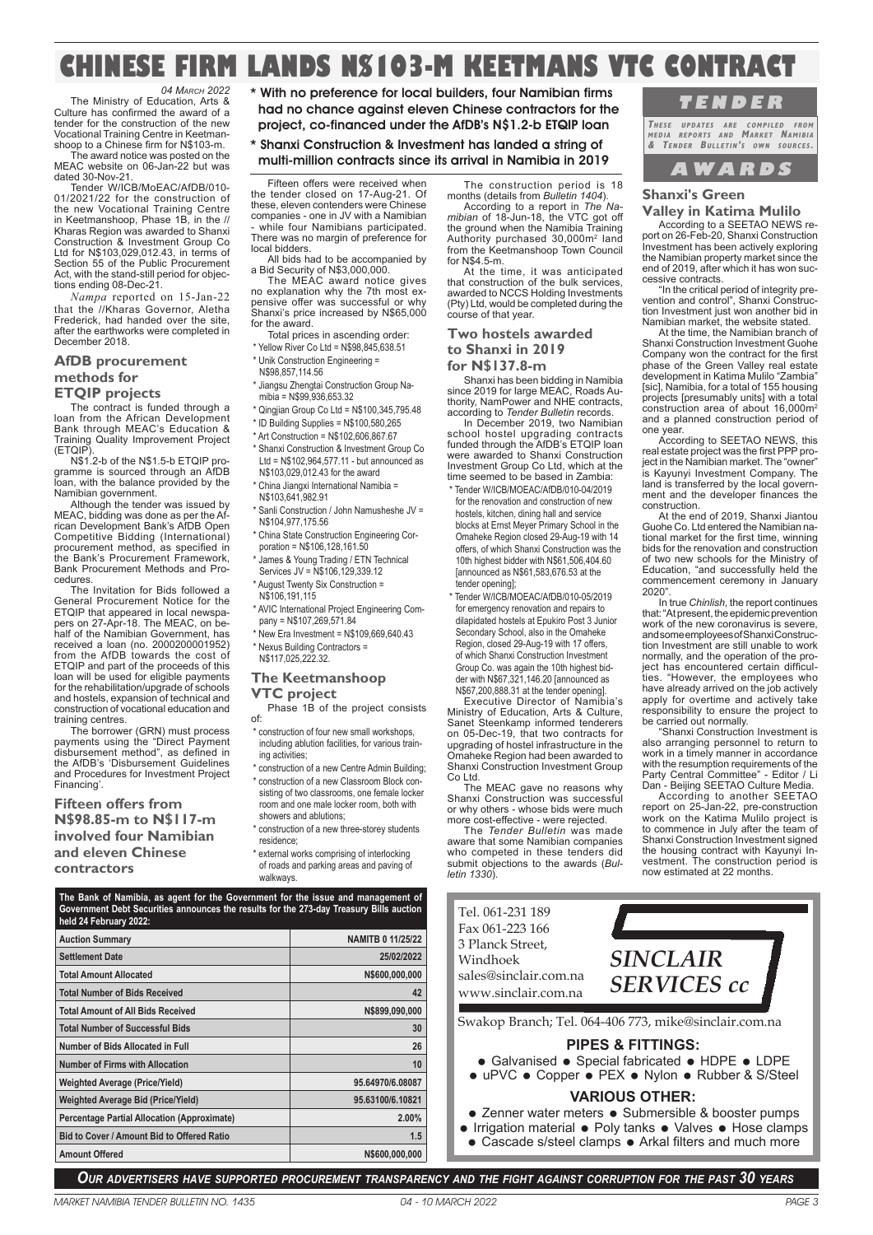## **CHINESE FIRM LANDS N\$103-M KEETMANS VTC CONTRACT**

*04 MARCH 2022* The Ministry of Education, Arts & Culture has confirmed the award of a tender for the construction of the new Vocational Training Centre in Keetman-shoop to a Chinese firm for N\$103-m.

The award notice was posted on the MEAC website on 06-Jan-22 but was dated 30-Nov-21.

Tender W/ICB/MoEAC/AfDB/010- 01/2021/22 for the construction of the new Vocational Training Centre in Keetmanshoop, Phase 1B, in the // Kharas Region was awarded to Shanxi Construction & Investment Group Co Ltd for N\$103,029,012.43, in terms of Section 55 of the Public Procurement Act, with the stand-still period for objec-tions ending 08-Dec-21.

*Nampa* reported on 15-Jan-22 that the //Kharas Governor, Aletha Frederick, had handed over the site, after the earthworks were completed in December 2018.

#### **AfDB procurement methods for ETQIP projects**

The contract is funded through a

loan from the African Development Bank through MEAC's Education & Training Quality Improvement Project (ETQIP).

N\$1.2-b of the N\$1.5-b ETQIP programme is sourced through an AfDB loan, with the balance provided by the Namibian government.

Although the tender was issued by MEAC, bidding was done as per the Af-rican Development Bank's AfDB Open Competitive Bidding (International) procurement method, as specified in the Bank's Procurement Framework, Bank Procurement Methods and Procedures.

The Invitation for Bids followed a General Procurement Notice for the ETQIP that appeared in local newspa-pers on 27-Apr-18. The MEAC, on behalf of the Namibian Government, has received a loan (no. 2000200001952) from the AfDB towards the cost of ETQIP and part of the proceeds of this loan will be used for eligible payments for the rehabilitation/upgrade of schools and hostels, expansion of technical and construction of vocational education and training centres.

The borrower (GRN) must process payments using the "Direct Payment disbursement method", as defined in the AfDB's 'Disbursement Guidelines and Procedures for Investment Project Financing'.

**Fifteen offers from N\$98.85-m to N\$117-m involved four Namibian and eleven Chinese contractors**

\* With no preference for local builders, four Namibian firms had no chance against eleven Chinese contractors for the project, co-financed under the AfDB's N\$1.2-b ETQIP loan

\* Shanxi Construction & Investment has landed a string of multi-million contracts since its arrival in Namibia in 2019

Fifteen offers were received when the tender closed on 17-Aug-21. Of these, eleven contenders were Chinese companies - one in JV with a Namibian - while four Namibians participated. There was no margin of preference for local bidders.

All bids had to be accompanied by a Bid Security of N\$3,000,000. The MEAC award notice gives

no explanation why the 7th most expensive offer was successful or why Shanxi's price increased by N\$65,000 for the award. Total prices in ascending order:

- Yellow River Co Ltd = N\$98,845,638,51
- \* Unik Construction Engineering =
- N\$98,857,114.56
- \* Jiangsu Zhengtai Construction Group Na-mibia = N\$99,936,653.32
- \* Qingjian Group Co Ltd = N\$100,345,795.48
- \* ID Building Supplies = N\$100,580,265
- \* Art Construction = N\$102,606,867.67
- Shanxi Construction & Investment Group Co Ltd = N\$102,964,577.11 - but announced as
- N\$103,029,012.43 for the award \* China Jiangxi International Namibia =
- N\$103,641,982.91
- Sanli Construction / John Namusheshe JV = N\$104,977,175.56
- \* China State Construction Engineering Corporation = N\$106,128,161.50
- James & Young Trading / ETN Technical Services JV = N\$106,129,339.12
- \* August Twenty Six Construction =
- N\$106,191,115
- \* AVIC International Project Engineering Company = N\$107,269,571.84
- New Era Investment = N\$109,669,640.43 Nexus Building Contractors =
- N\$117,025,222.32.

## **The Keetmanshoop VTC project**

- Phase 1B of the project consists of:
- \* construction of four new small workshops, including ablution facilities, for various training activities:
- \* construction of a new Centre Admin Building; \* construction of a new Classroom Block consisting of two classrooms, one female locker
- room and one male locker room, both with showers and ablutions; \* construction of a new three-storey students
- residence;
- \* external works comprising of interlocking of roads and parking areas and paving of walkways.

*mibian* of 18-Jun-18, the VTC got off the ground when the Namibia Training Authority purchased 30,000m<sup>2</sup> land from the Keetmanshoop Town Council for N\$4.5-m.

At the time, it was anticipated that construction of the bulk services, awarded to NCCS Holding Investments (Pty) Ltd, would be completed during the course of that year.

#### **Two hostels awarded to Shanxi in 2019 for N\$137.8-m**

Shanxi has been bidding in Namibia since 2019 for large MEAC, Roads Authority, NamPower and NHE contracts, according to *Tender Bulletin* records.

In December 2019, two Namibian school hostel upgrading contracts funded through the AfDB's ETQIP loan were awarded to Shanxi Construction Investment Group Co Ltd, which at the time seemed to be based in Zambia:

\* Tender W/ICB/MOEAC/AfDB/010-04/2019 for the renovation and construction of new hostels, kitchen, dining hall and service blocks at Ernst Meyer Primary School in the Omaheke Region closed 29-Aug-19 with 14 offers, of which Shanxi Construction was the 10th highest bidder with N\$61,506,404.60 [announced as N\$61,583,676.53 at the **tender openingla** 

\* Tender W/ICB/MOEAC/AfDB/010-05/2019 for emergency renovation and repairs to dilapidated hostels at Epukiro Post 3 Junior Secondary School, also in the Omaheke Region, closed 29-Aug-19 with 17 offers, of which Shanxi Construction Investment Group Co. was again the 10th highest bidder with N\$67,321,146.20 [announced as

N\$67,200,888.31 at the tender opening]. Executive Director of Namibia's Ministry of Education, Arts & Culture, Sanet Steenkamp informed tenderers on 05-Dec-19, that two contracts for upgrading of hostel infrastructure in the Omaheke Region had been awarded to Shanxi Construction Investment Group Co Ltd.

The MEAC gave no reasons why Shanxi Construction was successful or why others - whose bids were much more cost-effective - were rejected.

The *Tender Bulletin* was made aware that some Namibian companies who competed in these tenders did submit objections to the awards (*Bulletin 1330*).

Tel. 061-231 189



According to a SEETAO NEWS re-port on 26-Feb-20, Shanxi Construction Investment has been actively exploring the Namibian property market since the end of 2019, after which it has won successive contracts.

**T E N D E R THESE UPDATES ARE COMPILED FROM MEDIA REPORTS AND MARKET NAMIBIA & TENDER BULLETIN' S OWN SOURCES .** 

"In the critical period of integrity prevention and control", Shanxi Construc-tion Investment just won another bid in Namibian market, the website stated.

At the time, the Namibian branch of Shanxi Construction Investment Guohe Company won the contract for the first phase of the Green Valley real estate development in Katima Mulilo "Zambia" [sic], Namibia, for a total of 155 housing projects [presumably units] with a total construction area of about 16,000m<sup>2</sup> and a planned construction period of one year.

According to SEETAO NEWS, this real estate project was the first PPP project in the Namibian market. The "owner is Kayunyi Investment Company. The land is transferred by the local government and the developer finances the construction.

At the end of 2019, Shanxi Jiantou Guohe Co. Ltd entered the Namibian national market for the first time, winning bids for the renovation and construction of two new schools for the Ministry of Education, "and successfully held the commencement ceremony in January 2020".

In true *Chinlish*, the report continues that: "At present, the epidemic prevention work of the new coronavirus is severe, and some employees of Shanxi Construction Investment are still unable to work normally, and the operation of the pro-ject has encountered certain difficulties. "However, the employees who have already arrived on the job actively apply for overtime and actively take responsibility to ensure the project to be carried out normally.

"Shanxi Construction Investment is also arranging personnel to return to work in a timely manner in accordance with the resumption requirements of the Party Central Committee" - Editor / Li Dan - Beijing SEETAO Culture Media.

According to another SEETAO report on 25-Jan-22, pre-construction work on the Katima Mulilo project is to commence in July after the team of Shanxi Construction Investment signed the housing contract with Kayunyi In-vestment. The construction period is now estimated at 22 months.

| Government Debt Securities announces the results for the 273-day Treasury Bills auction<br>held 24 February 2022: |                          |  |  |
|-------------------------------------------------------------------------------------------------------------------|--------------------------|--|--|
| <b>Auction Summary</b>                                                                                            | <b>NAMITB 0 11/25/22</b> |  |  |
| <b>Settlement Date</b>                                                                                            | 25/02/2022               |  |  |
| <b>Total Amount Allocated</b>                                                                                     | N\$600,000,000           |  |  |
| <b>Total Number of Bids Received</b>                                                                              | 42                       |  |  |
| <b>Total Amount of All Bids Received</b>                                                                          | N\$899,090,000           |  |  |
| <b>Total Number of Successful Bids</b>                                                                            | 30                       |  |  |
| Number of Bids Allocated in Full                                                                                  | 26                       |  |  |
| <b>Number of Firms with Allocation</b>                                                                            | 10                       |  |  |
| <b>Weighted Average (Price/Yield)</b>                                                                             | 95.64970/6.08087         |  |  |
| <b>Weighted Average Bid (Price/Yield)</b>                                                                         | 95.63100/6.10821         |  |  |
| <b>Percentage Partial Allocation (Approximate)</b>                                                                | 2.00%                    |  |  |
| Bid to Cover / Amount Bid to Offered Ratio                                                                        | 1.5                      |  |  |
| <b>Amount Offered</b>                                                                                             | N\$600,000,000           |  |  |

**The Bank of Namibia, as agent for the Government for the issue and management of Government Debt Securities announces the results for the 273-day Treasury Bills auction** 

**PIPES & FITTINGS:** • Galvanised • Special fabricated • HDPE • LDPE *SINCLAIR SERVICES cc*  Swakop Branch; Tel. 064-406 773, mike@sinclair.com.na Fax 061-223 166 3 Planck Street, Windhoek sales@sinclair.com.na www.sinclair.com.na

■ uPVC • Copper • PEX • Nylon • Rubber & S/Steel

## **VARIOUS OTHER:**

- Zenner water meters Submersible & booster pumps
- Irrigation material Poly tanks Valves Hose clamps
- Cascade s/steel clamps Arkal filters and much more
-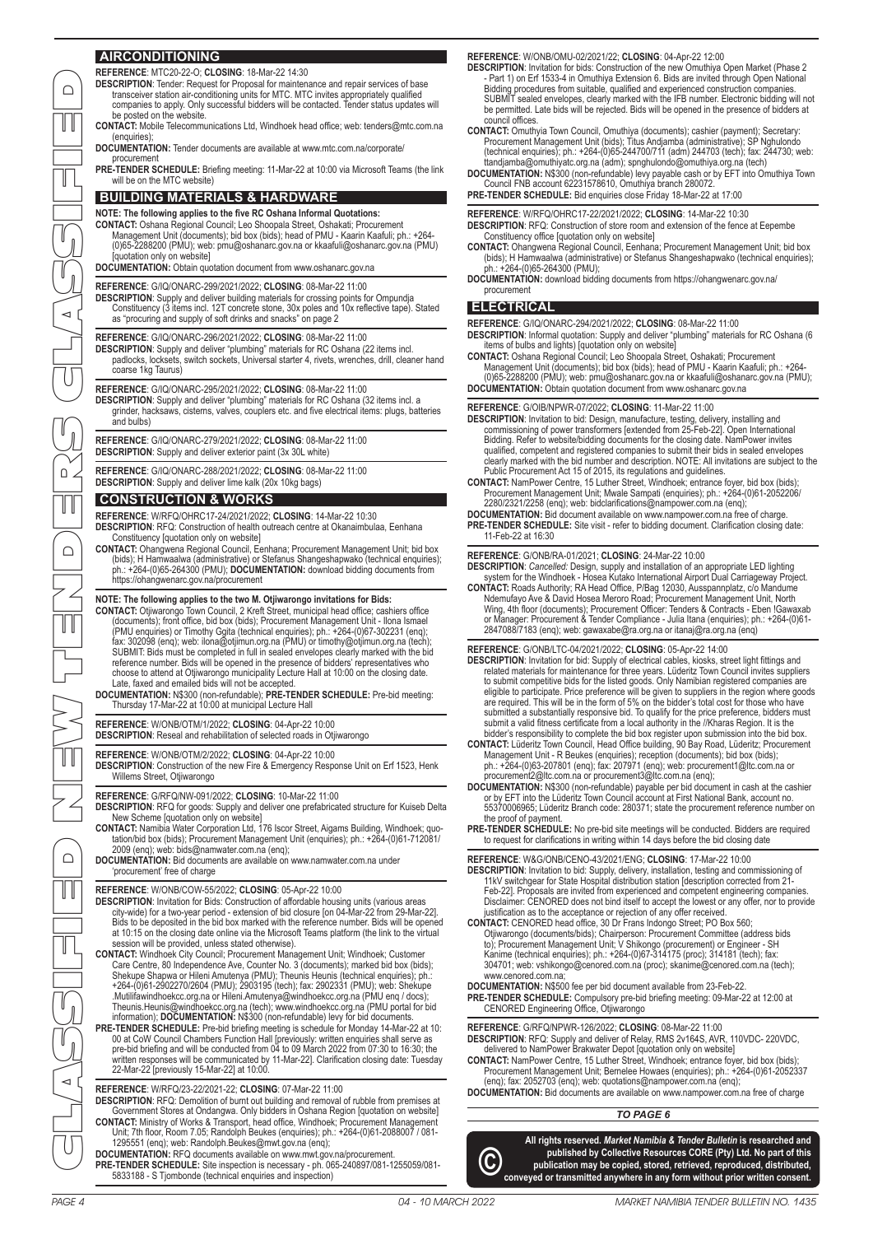## **AIRCONDITIONING**

| $\bigcap$       | AIRCONDITIO <u>NING</u><br>REFERENCE: MTC20-22-O; CLOSING: 18-Mar-22 14:30<br><b>DESCRIPTION:</b> Tender: Request for Proposal for maintenance and repair services of base<br>transceiver station air-conditioning units for MTC. MTC invites appropriately qualified<br>companies to apply. Only successful bidders will be contacted. Tender status updates will<br>be posted on the website.                                                                                                               | REFERENCE: W/ONB/OMU-02/2021/22; CLOSING: 04-Apr-22 12:00<br>DESCRIPTION: Invitation for bids: Construction of the new Omuthiya Open Market (Phase 2)<br>- Part 1) on Erf 1533-4 in Omuthiya Extension 6. Bids are invited through Open National<br>Bidding procedures from suitable, qualified and experienced construction companies.<br>SUBMIT sealed envelopes, clearly marked with the IFB number. Electronic bidding will not<br>be permitted. Late bids will be rejected. Bids will be opened in the presence of bidders at                                                                                                                     |  |
|-----------------|---------------------------------------------------------------------------------------------------------------------------------------------------------------------------------------------------------------------------------------------------------------------------------------------------------------------------------------------------------------------------------------------------------------------------------------------------------------------------------------------------------------|--------------------------------------------------------------------------------------------------------------------------------------------------------------------------------------------------------------------------------------------------------------------------------------------------------------------------------------------------------------------------------------------------------------------------------------------------------------------------------------------------------------------------------------------------------------------------------------------------------------------------------------------------------|--|
|                 | <b>CONTACT:</b> Mobile Telecommunications Ltd, Windhoek head office; web: tenders@mtc.com.na<br>(enquiries)<br>DOCUMENTATION: Tender documents are available at www.mtc.com.na/corporate/<br>procurement                                                                                                                                                                                                                                                                                                      | council offices.<br><b>CONTACT:</b> Omuthyia Town Council, Omuthiya (documents); cashier (payment); Secretary:<br>Procurement Management Unit (bids); Titus Andjamba (administrative); SP Nghulondo<br>(technical enquiries); ph.: +264-(0)65-244700/711 (adm) 244703 (tech); fax: 244730; web:<br>ttandjamba@omuthiyatc.org.na (adm); spnghulondo@omuthiya.org.na (tech)                                                                                                                                                                                                                                                                              |  |
|                 | <b>PRE-TENDER SCHEDULE:</b> Briefing meeting: 11-Mar-22 at 10:00 via Microsoft Teams (the link<br>will be on the MTC website)<br><b>BUILDING MATERIALS &amp; HARDWARE</b>                                                                                                                                                                                                                                                                                                                                     | DOCUMENTATION: N\$300 (non-refundable) levy payable cash or by EFT into Omuthiya Town<br>Council FNB account 62231578610, Omuthiya branch 280072.<br><b>PRE-TENDER SCHEDULE:</b> Bid enquiries close Friday 18-Mar-22 at 17:00                                                                                                                                                                                                                                                                                                                                                                                                                         |  |
|                 | NOTE: The following applies to the five RC Oshana Informal Quotations:<br><b>CONTACT:</b> Oshana Regional Council; Leo Shoopala Street, Oshakati; Procurement<br>Management Unit (documents); bid box (bids); head of PMU - Kaarin Kaafuli; ph.: +264-<br>(0)65-2288200 (PMU); web: pmu@oshanarc.gov.na or kkaafuli@oshanarc.gov.na (PMU)<br>[quotation only on website]<br>DOCUMENTATION: Obtain quotation document from www.oshanarc.gov.na                                                                 | REFERENCE: W/RFQ/OHRC17-22/2021/2022; CLOSING: 14-Mar-22 10:30<br><b>DESCRIPTION:</b> RFQ: Construction of store room and extension of the fence at Eepembe<br>Constituency office [quotation only on website]<br>CONTACT: Ohangwena Regional Council, Eenhana; Procurement Management Unit; bid box<br>(bids); H Hamwaalwa (administrative) or Stefanus Shangeshapwako (technical enquiries);<br>ph.: +264-(0)65-264300 (PMU);<br>DOCUMENTATION: download bidding documents from https://ohangwenarc.gov.na/                                                                                                                                          |  |
| $\triangleleft$ | REFERENCE: G/IQ/ONARC-299/2021/2022; CLOSING: 08-Mar-22 11:00<br><b>DESCRIPTION:</b> Supply and deliver building materials for crossing points for Ompundja<br>Constituency (3 items incl. 12T concrete stone, 30x poles and 10x reflective tape). Stated<br>as "procuring and supply of soft drinks and snacks" on page 2                                                                                                                                                                                    | procurement<br><b>ELECTRICAL</b><br>REFERENCE: G/IQ/ONARC-294/2021/2022: CLOSING: 08-Mar-22 11:00                                                                                                                                                                                                                                                                                                                                                                                                                                                                                                                                                      |  |
|                 | REFERENCE: G/IQ/ONARC-296/2021/2022; CLOSING: 08-Mar-22 11:00<br><b>DESCRIPTION:</b> Supply and deliver "plumbing" materials for RC Oshana (22 items incl.<br>padlocks, locksets, switch sockets, Universal starter 4, rivets, wrenches, drill, cleaner hand<br>coarse 1kg Taurus)                                                                                                                                                                                                                            | DESCRIPTION: Informal quotation: Supply and deliver "plumbing" materials for RC Oshana (6<br>items of bulbs and lights) [quotation only on website]<br><b>CONTACT:</b> Oshana Regional Council; Leo Shoopala Street, Oshakati; Procurement<br>Management Unit (documents); bid box (bids); head of PMU - Kaarin Kaafuli; ph.: +264-<br>(0)65-2288200 (PMU); web: pmu@oshanarc.gov.na or kkaafuli@oshanarc.gov.na (PMU);                                                                                                                                                                                                                                |  |
|                 | REFERENCE: G/IQ/ONARC-295/2021/2022; CLOSING: 08-Mar-22 11:00<br><b>DESCRIPTION:</b> Supply and deliver "plumbing" materials for RC Oshana (32 items incl. a<br>grinder, hacksaws, cisterns, valves, couplers etc. and five electrical items: plugs, batteries<br>and bulbs)                                                                                                                                                                                                                                  | DOCUMENTATION: Obtain quotation document from www.oshanarc.gov.na<br>REFERENCE: G/OIB/NPWR-07/2022; CLOSING: 11-Mar-22 11:00<br>DESCRIPTION: Invitation to bid: Design, manufacture, testing, delivery, installing and                                                                                                                                                                                                                                                                                                                                                                                                                                 |  |
|                 | REFERENCE: G/IQ/ONARC-279/2021/2022; CLOSING: 08-Mar-22 11:00<br><b>DESCRIPTION:</b> Supply and deliver exterior paint (3x 30L white)                                                                                                                                                                                                                                                                                                                                                                         | commissioning of power transformers [extended from 25-Feb-22]. Open International<br>Bidding. Refer to website/bidding documents for the closing date. NamPower invites<br>qualified, competent and registered companies to submit their bids in sealed envelopes<br>clearly marked with the bid number and description. NOTE: All invitations are subject to the                                                                                                                                                                                                                                                                                      |  |
| $\Omega$        | REFERENCE: G/IQ/ONARC-288/2021/2022; CLOSING: 08-Mar-22 11:00<br><b>DESCRIPTION:</b> Supply and deliver lime kalk (20x 10kg bags)<br><b>CONSTRUCTION &amp; WORKS</b>                                                                                                                                                                                                                                                                                                                                          | Public Procurement Act 15 of 2015, its regulations and guidelines.<br><b>CONTACT:</b> NamPower Centre, 15 Luther Street, Windhoek; entrance foyer, bid box (bids);<br>Procurement Management Unit; Mwale Sampati (enquiries); ph.: +264-(0)61-2052206/<br>2280/2321/2258 (eng); web: bidclarifications@nampower.com.na (eng);                                                                                                                                                                                                                                                                                                                          |  |
| $\bigcap$       | REFERENCE: W/RFQ/OHRC17-24/2021/2022; CLOSING: 14-Mar-22 10:30<br><b>DESCRIPTION:</b> RFQ: Construction of health outreach centre at Okanaimbulaa, Eenhana<br>Constituency [quotation only on website]<br><b>CONTACT:</b> Ohangwena Regional Council, Eenhana; Procurement Management Unit; bid box                                                                                                                                                                                                           | DOCUMENTATION: Bid document available on www.nampower.com.na free of charge.<br><b>PRE-TENDER SCHEDULE:</b> Site visit - refer to bidding document. Clarification closing date:<br>11-Feb-22 at 16:30<br>REFERENCE: G/ONB/RA-01/2021; CLOSING: 24-Mar-22 10:00                                                                                                                                                                                                                                                                                                                                                                                         |  |
|                 | (bids); H Hamwaalwa (administrative) or Stefanus Shangeshapwako (technical enquiries);<br>ph.: +264-(0)65-264300 (PMU); DOCUMENTATION: download bidding documents from<br>https://ohangwenarc.gov.na/procurement                                                                                                                                                                                                                                                                                              | DESCRIPTION: Cancelled: Design, supply and installation of an appropriate LED lighting<br>system for the Windhoek - Hosea Kutako International Airport Dual Carriageway Project<br><b>CONTACT:</b> Roads Authority; RA Head Office, P/Bag 12030, Ausspannplatz, c/o Mandume<br>Ndemufayo Ave & David Hosea Meroro Road; Procurement Management Unit, North                                                                                                                                                                                                                                                                                             |  |
|                 | NOTE: The following applies to the two M. Otjiwarongo invitations for Bids:<br><b>CONTACT:</b> Otjiwarongo Town Council, 2 Kreft Street, municipal head office; cashiers office<br>(documents); front office, bid box (bids); Procurement Management Unit - Ilona Ismael<br>(PMU enquiries) or Timothy Ggita (technical enquiries); ph.: +264-(0)67-302231 (enq);<br>fax: 302098 (enq); web: ilona@otjimun.org.na (PMU) or timothy@otjimun.org.na (tech);                                                     | Wing, 4th floor (documents); Procurement Officer: Tenders & Contracts - Eben !Gawaxab<br>or Manager: Procurement & Tender Compliance - Julia Itana (enquiries); ph.: +264-(0)61-<br>2847088/7183 (enq); web: gawaxabe@ra.org.na or itanaj@ra.org.na (enq)                                                                                                                                                                                                                                                                                                                                                                                              |  |
|                 | SUBMIT: Bids must be completed in full in sealed envelopes clearly marked with the bid<br>reference number. Bids will be opened in the presence of bidders' representatives who<br>choose to attend at Otjiwarongo municipality Lecture Hall at 10:00 on the closing date.<br>Late, faxed and emailed bids will not be accepted.<br>DOCUMENTATION: N\$300 (non-refundable); PRE-TENDER SCHEDULE: Pre-bid meeting:<br>Thursday 17-Mar-22 at 10:00 at municipal Lecture Hall                                    | REFERENCE: G/ONB/LTC-04/2021/2022; CLOSING: 05-Apr-22 14:00<br>DESCRIPTION: Invitation for bid: Supply of electrical cables, kiosks, street light fittings and<br>related materials for maintenance for three years. Lüderitz Town Council invites suppliers<br>to submit competitive bids for the listed goods. Only Namibian registered companies are<br>eligible to participate. Price preference will be given to suppliers in the region where goods<br>are required. This will be in the form of 5% on the bidder's total cost for those who have<br>submitted a substantially responsive bid. To qualify for the price preference, bidders must |  |
|                 | REFERENCE: W/ONB/OTM/1/2022; CLOSING: 04-Apr-22 10:00<br><b>DESCRIPTION:</b> Reseal and rehabilitation of selected roads in Otiiwarongo                                                                                                                                                                                                                                                                                                                                                                       | submit a valid fitness certificate from a local authority in the //Kharas Region. It is the<br>bidder's responsibility to complete the bid box register upon submission into the bid box.<br><b>CONTACT:</b> Lüderitz Town Council, Head Office building, 90 Bay Road, Lüderitz; Procurement                                                                                                                                                                                                                                                                                                                                                           |  |
| ÍT              | REFERENCE: W/ONB/OTM/2/2022; CLOSING: 04-Apr-22 10:00<br>DESCRIPTION: Construction of the new Fire & Emergency Response Unit on Erf 1523, Henk<br>Willems Street, Otjiwarongo                                                                                                                                                                                                                                                                                                                                 | Management Unit - R Beukes (enquiries); reception (documents); bid box (bids);<br>ph.: +264-(0)63-207801 (eng); fax: 207971 (eng); web: procurement1@ltc.com.na or<br>procurement2@ltc.com.na or procurement3@ltc.com.na (enq);<br><b>DOCUMENTATION:</b> N\$300 (non-refundable) payable per bid document in cash at the cashier                                                                                                                                                                                                                                                                                                                       |  |
|                 | REFERENCE: G/RFQ/NW-091/2022: CLOSING: 10-Mar-22 11:00<br><b>DESCRIPTION:</b> RFQ for goods: Supply and deliver one prefabricated structure for Kuiseb Delta<br>New Scheme [quotation only on website]<br><b>CONTACT:</b> Namibia Water Corporation Ltd, 176 Iscor Street, Aigams Building, Windhoek; quo-                                                                                                                                                                                                    | or by EFT into the Lüderitz Town Council account at First National Bank, account no.<br>55370006965; Lüderitz Branch code: 280371; state the procurement reference number on<br>the proof of payment.<br>PRE-TENDER SCHEDULE: No pre-bid site meetings will be conducted. Bidders are required                                                                                                                                                                                                                                                                                                                                                         |  |
| $\bigcap$       | tation/bid box (bids); Procurement Management Unit (enquiries); ph.: +264-(0)61-712081/<br>2009 (eng); web: bids@namwater.com.na (eng);<br>DOCUMENTATION: Bid documents are available on www.namwater.com.na under<br>'procurement' free of charge                                                                                                                                                                                                                                                            | to request for clarifications in writing within 14 days before the bid closing date<br>REFERENCE: W&G/ONB/CENO-43/2021/ENG: CLOSING: 17-Mar-22 10:00<br><b>DESCRIPTION:</b> Invitation to bid: Supply, delivery, installation, testing and commissioning of<br>11kV switchgear for State Hospital distribution station [description corrected from 21-                                                                                                                                                                                                                                                                                                 |  |
| חר              | REFERENCE: W/ONB/COW-55/2022; CLOSING: 05-Apr-22 10:00<br><b>DESCRIPTION:</b> Invitation for Bids: Construction of affordable housing units (various areas<br>city-wide) for a two-year period - extension of bid closure [on 04-Mar-22 from 29-Mar-22].<br>Bids to be deposited in the bid box marked with the reference number. Bids will be opened<br>at 10:15 on the closing date online via the Microsoft Teams platform (the link to the virtual<br>session will be provided, unless stated otherwise). | Feb-22]. Proposals are invited from experienced and competent engineering companies.<br>Disclaimer: CENORED does not bind itself to accept the lowest or any offer, nor to provide<br>justification as to the acceptance or rejection of any offer received.<br><b>CONTACT:</b> CENORED head office, 30 Dr Frans Indongo Street; PO Box 560;<br>Otjiwarongo (documents/bids); Chairperson: Procurement Committee (address bids<br>to); Procurement Management Unit; V Shikongo (procurement) or Engineer - SH                                                                                                                                          |  |
|                 | <b>CONTACT:</b> Windhoek City Council; Procurement Management Unit; Windhoek; Customer<br>Care Centre, 80 Independence Ave, Counter No. 3 (documents); marked bid box (bids);<br>Shekupe Shapwa or Hileni Amutenya (PMU); Theunis Heunis (technical enquiries); ph.:<br>+264-(0)61-2902270/2604 (PMU); 2903195 (tech); fax: 2902331 (PMU); web: Shekupe                                                                                                                                                       | Kanime (technical enquiries); ph.: +264-(0)67-314175 (proc); 314181 (tech); fax:<br>304701; web: vshikongo@cenored.com.na (proc); skanime@cenored.com.na (tech);<br>www.cenored.com.na;<br>DOCUMENTATION: N\$500 fee per bid document available from 23-Feb-22.                                                                                                                                                                                                                                                                                                                                                                                        |  |
|                 | .Mutilifawindhoekcc.org.na or Hileni.Amutenya@windhoekcc.org.na (PMU eng / docs);<br>Theunis.Heunis@windhoekcc.org.na (tech); www.windhoekcc.org.na (PMU portal for bid<br>information); DOCUMENTATION: N\$300 (non-refundable) levy for bid documents.<br><b>PRE-TENDER SCHEDULE:</b> Pre-bid briefing meeting is schedule for Monday 14-Mar-22 at 10:                                                                                                                                                       | <b>PRE-TENDER SCHEDULE:</b> Compulsory pre-bid briefing meeting: 09-Mar-22 at 12:00 at<br>CENORED Engineering Office, Otjiwarongo<br>REFERENCE: G/RFQ/NPWR-126/2022; CLOSING: 08-Mar-22 11:00                                                                                                                                                                                                                                                                                                                                                                                                                                                          |  |
|                 | 00 at CoW Council Chambers Function Hall [previously: written enquiries shall serve as<br>pre-bid briefing and will be conducted from 04 to 09 March 2022 from 07:30 to 16:30; the<br>written responses will be communicated by 11-Mar-22]. Clarification closing date: Tuesday<br>22-Mar-22 [previously 15-Mar-22] at 10:00.                                                                                                                                                                                 | DESCRIPTION: RFQ: Supply and deliver of Relay, RMS 2v164S, AVR, 110VDC-220VDC,<br>delivered to NamPower Brakwater Depot [quotation only on website]<br><b>CONTACT:</b> NamPower Centre, 15 Luther Street, Windhoek; entrance foyer, bid box (bids);<br>Procurement Management Unit; Bernelee Howaes (enquiries); ph.: +264-(0)61-2052337                                                                                                                                                                                                                                                                                                               |  |
| $\triangleleft$ | REFERENCE: W/RFQ/23-22/2021-22; CLOSING: 07-Mar-22 11:00<br>DESCRIPTION: RFQ: Demolition of burnt out building and removal of rubble from premises at<br>Government Stores at Ondangwa. Only bidders in Oshana Region [quotation on website]<br><b>CONTACT:</b> Ministry of Works & Transport, head office, Windhoek; Procurement Management                                                                                                                                                                  | (eng); fax: 2052703 (eng); web: quotations@nampower.com.na (eng);<br><b>DOCUMENTATION:</b> Bid documents are available on www.nampower.com.na free of charge<br>TO PAGE 6                                                                                                                                                                                                                                                                                                                                                                                                                                                                              |  |
|                 | Unit; 7th floor, Room 7.05; Randolph Beukes (enquiries); ph.: +264-(0)61-2088007 / 081-<br>1295551 (enq); web: Randolph.Beukes@mwt.gov.na (enq);<br>DOCUMENTATION: RFQ documents available on www.mwt.gov.na/procurement.<br>PRE-TENDER SCHEDULE: Site inspection is necessary - ph. 065-240897/081-1255059/081-<br>5833188 - S Tjombonde (technical enquiries and inspection)                                                                                                                                | All rights reserved. Market Namibia & Tender Bulletin is researched and<br>published by Collective Resources CORE (Pty) Ltd. No part of this<br>C)<br>publication may be copied, stored, retrieved, reproduced, distributed,<br>conveyed or transmitted anywhere in any form without prior written consent.                                                                                                                                                                                                                                                                                                                                            |  |
| PAGE 4          | 04 - 10 MARCH 2022                                                                                                                                                                                                                                                                                                                                                                                                                                                                                            | MARKET NAMIBIA TENDER BULLETIN NO. 1435                                                                                                                                                                                                                                                                                                                                                                                                                                                                                                                                                                                                                |  |

**REFERENCE**: W/ONB/OMU-02/2021/22; **CLOSING**: 04-Apr-22 12:00

#### **ELECTRICAL**

#### **REFERENCE**: G/OIB/NPWR-07/2022; **CLOSING**: 11-Mar-22 11:00

- DESCRIPTION: Invitation to bid: Design, manufacture, testing, delivery, installing and<br>commissioning of power transformers [extended from 25-Feb-22]. Open International<br>Bidding. Refer to website/bidding documents for the c qualified, competent and registered companies to submit their bids in sealed envelopes clearly marked with the bid number and description. NOTE: All invitations are subject to the
- Public Procurement Act 15 of 2015, its regulations and guidelines. **CONTACT:** NamPower Centre, 15 Luther Street, Windhoek; entrance foyer, bid box (bids); Procurement Management Unit; Mwale Sampati (enquiries); ph.: +264-(0)61-2052206

- **DESCRIPTION**: Invitation for bid: Supply of electrical cables, kiosks, street light fittings and related materials for maintenance for three years. Lüderitz Town Council invites suppliers to submit competitive bids for the listed goods. Only Namibian registered companies are eligible to participate. Price preference will be given to suppliers in the region where goods are required. This will be in the form of 5% on the bidder's total cost for those who have submitted a substantially responsive bid. To qualify for the price preference, bidders must submit a valid fitness certificate from a local authority in the //Kharas Region. It is the bidder's responsibility to complete the bid box register upon submission into the bid box.
- **CONTACT:** Lüderitz Town Council, Head Office building, 90 Bay Road, Lüderitz; Procurement Management Unit - R Beukes (enquiries); reception (documents); bid box (bids); ph.: +264-(0)63-207801 (enq); fax: 207971 (enq); web: procurement1@ltc.com.na or procurement2@ltc.com.na or procurement3@ltc.com.na (enq);
- **DOCUMENTATION:** N\$300 (non-refundable) payable per bid document in cash at the cashier or by EFT into the Lüderitz Town Council account at First National Bank, account no. 55370006965; Lüderitz Branch code: 280371; state the procurement reference number on the proof of payment.
- **PRE-TENDER SCHEDULE:** No pre-bid site meetings will be conducted. Bidders are required to request for clarifications in writing within 14 days before the bid closing date

#### *TO PAGE 6*

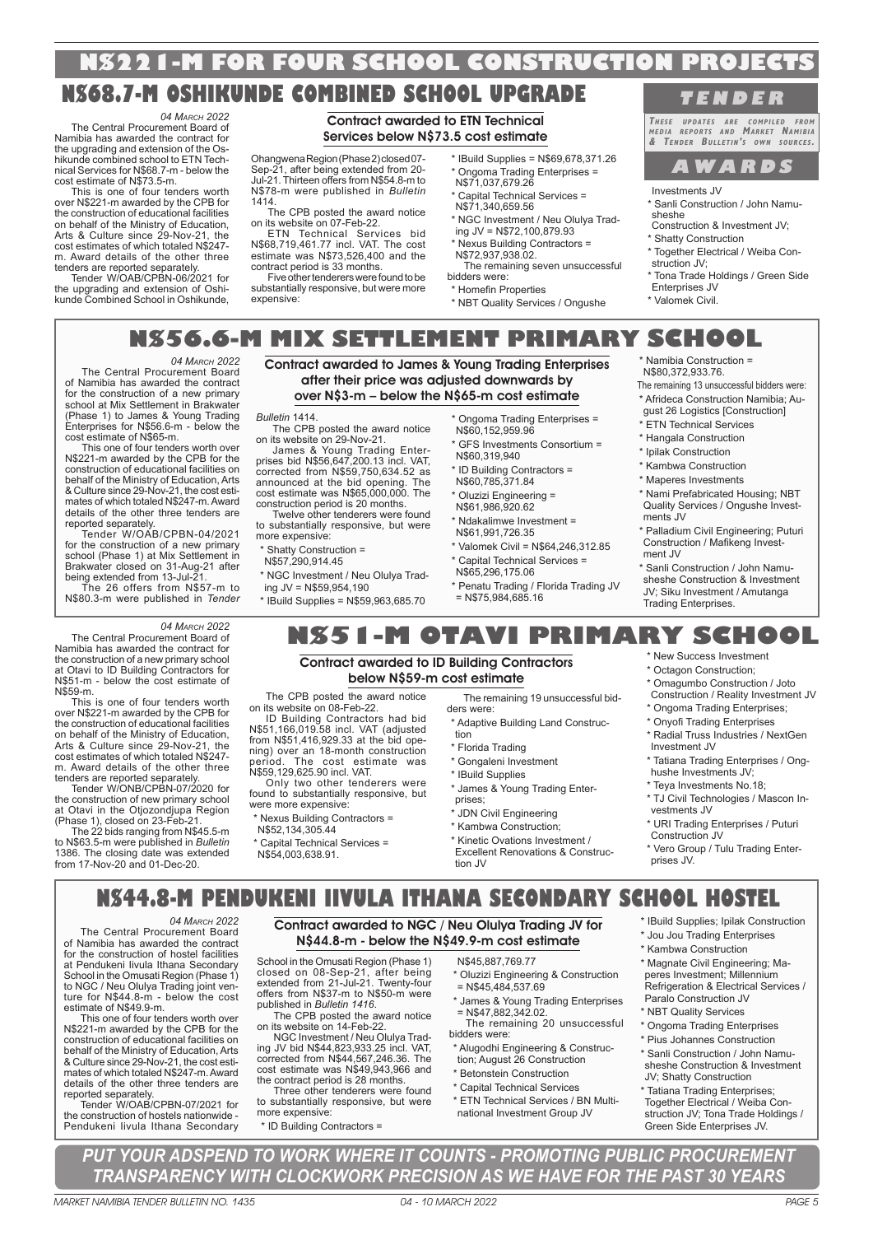## **N\$221-M FOR FOUR SCHOOL CONSTRUCTION PROJECTS**

## **N\$68.7-M OSHIKUNDE COMBINED SCHOOL UPGRADE**

*04 MARCH 2022* The Central Procurement Board of Namibia has awarded the contract for the upgrading and extension of the Oshikunde combined school to ETN Tech-nical Services for N\$68.7-m - below the cost estimate of N\$73.5-m.

This is one of four tenders worth over N\$221-m awarded by the CPB for the construction of educational facilities on behalf of the Ministry of Education, Arts & Culture since 29-Nov-21, the cost estimates of which totaled N\$247 m. Award details of the other three

tenders are reported separately. Tender W/OAB/CPBN-06/2021 for the upgrading and extension of Oshikunde Combined School in Oshikunde,

## Contract awarded to ETN Technical Services below N\$73.5 cost estimate

Ohangwena Region (Phase 2) closed 07- Sep-21, after being extended from 20- Jul-21. Thirteen offers from N\$54.8-m to N\$78-m were published in *Bulletin* 1414.

The CPB posted the award notice on its website on 07-Feb-22.

ETN Technical Services bid N\$68,719,461.77 incl. VAT. The cost estimate was N\$73,526,400 and the contract period is 33 months.

Five other tenderers were found to be substantially responsive, but were more expensive:

- \* IBuild Supplies = N\$69,678,371.26 \* Ongoma Trading Enterprises = N\$71,037,679.26
- \* Capital Technical Services = N\$71,340,659.56
- \* NGC Investment / Neu Olulya Trading JV = N\$72,100,879.93

Nexus Building Contractors = N\$72,937,938.02. The remaining seven unsuccessful

bidders were: \* Homefin Properties

\* NBT Quality Services / Ongushe

## **T E N D E R**

**THESE UPDATES ARE COMPILED FROM MEDIA REPORTS AND MARKET NAMIBIA & TENDER BULLETIN' <sup>S</sup> OWN SOURCES .** 

## **A W A R D S**

Investments JV

- \* Sanli Construction / John Namusheshe Construction & Investment JV;
- \* Shatty Construction
- \* Together Electrical / Weiba Construction JV;
- \* Tona Trade Holdings / Green Side Enterprises JV
- \* Valomek Civil.

**N\$56.6-M MIX SETTLEMENT PRIMARY SCHOOL**

Contract awarded to James & Young Trading Enterprises after their price was adjusted downwards by

*04 MARCH 2022*

The Central Procurement Board of Namibia has awarded the contract for the construction of a new primary school at Mix Settlement in Brakwater (Phase 1) to James & Young Trading Enterprises for N\$56.6-m - below the cost estimate of N\$65-m.

This one of four tenders worth over N\$221-m awarded by the CPB for the construction of educational facilities on behalf of the Ministry of Education, Arts & Culture since 29-Nov-21, the cost estimates of which totaled N\$247-m. Award details of the other three tenders are reported separately.

Tender W/OAB/CPBN-04/2021 for the construction of a new primary school (Phase 1) at Mix Settlement in Brakwater closed on 31-Aug-21 after being extended from 13-Jul-21.

The 26 offers from N\$57-m to N\$80.3-m were published in *Tender* 

*04 MARCH 2022*

The Central Procurement Board of Namibia has awarded the contract for the construction of a new primary school at Otavi to ID Building Contractors for N\$51-m - below the cost estimate of N\$59-m.

This is one of four tenders worth over N\$221-m awarded by the CPB for the construction of educational facilities on behalf of the Ministry of Education, Arts & Culture since 29-Nov-21, the cost estimates of which totaled N\$247 m. Award details of the other three tenders are reported separately.

Tender W/ONB/CPBN-07/2020 for the construction of new primary school at Otavi in the Otjozondjupa Region

(Phase 1), closed on 23-Feb-21. The 22 bids ranging from N\$45.5-m to N\$63.5-m were published in *Bulletin* 1386. The closing date was extended from 17-Nov-20 and 01-Dec-20.

over N\$3-m – below the N\$65-m cost estimate *Bulletin* 1414. The CPB posted the award notice

on its website on 29-Nov-21. James & Young Trading Enter-prises bid N\$56,647,200.13 incl. VAT, corrected from N\$59,750,634.52 as announced at the bid opening. The cost estimate was N\$65,000,000. The construction period is 20 months. Twelve other tenderers were found

to substantially responsive, but were more expensive:

\* Shatty Construction = N\$57,290,914.45

on its website on 08-Feb-22.

were more expensive:

- \* NGC Investment / Neu Olulya Trad-
- ing JV = N\$59,954,190
- \* IBuild Supplies = N\$59,963,685.70

The CPB posted the award notice

ID Building Contractors had bid N\$51,166,019.58 incl. VAT (adjusted from N\$51,416,929.33 at the bid opening) over an 18-month construction period. The cost estimate was N\$59,129,625.90 incl. VAT.

Only two other tenderers were found to substantially responsive, but

\* Nexus Building Contractors = N\$52,134,305.44 \* Capital Technical Services = N\$54,003,638.91.

\* Ongoma Trading Enterprises = N\$60,152,959.96

- \* GFS Investments Consortium = N\$60,319,940
- \* ID Building Contractors = N\$60,785,371.84
- <sup>\*</sup> Oluzizi Engineering = N\$61,986,920.62
- \* Ndakalimwe Investment = N\$61,991,726.35
- \* Valomek Civil = N\$64,246,312.85 \* Capital Technical Services =
- N\$65,296,175.06 \* Penatu Trading / Florida Trading JV = N\$75,984,685.16
	-

\* Namibia Construction = N\$80,372,933.76.

- The remaining 13 unsuccessful bidders were: \* Afrideca Construction Namibia; Au-
- gust 26 Logistics [Construction] \* ETN Technical Services
- \* Hangala Construction
- 
- \* Ipilak Construction \* Kambwa Construction
- \* Maperes Investments
- \* Nami Prefabricated Housing; NBT Quality Services / Ongushe Invest-
- ments JV \* Palladium Civil Engineering; Puturi Construction / Mafikeng Invest-
- ment JV \* Sanli Construction / John Namu-
- sheshe Construction & Investment JV; Siku Investment / Amutanga Trading Enterprises.

## **N\$51-M OTAVI PRIMARY SCHOOL** \* New Success Investment

#### Contract awarded to ID Building Contractors below N\$59-m cost estimate

The remaining 19 unsuccessful bidders were:

- \* Adaptive Building Land Construction
- \* Florida Trading
- \* Gongaleni Investment
- \* IBuild Supplies \* James & Young Trading Enterprises;
- \* JDN Civil Engineering
- \* Kambwa Construction;
- \* Kinetic Ovations Investment / Excellent Renovations & Construction JV
- \* Octagon Construction; \* Omagumbo Construction / Joto
	- Construction / Reality Investment JV
- \* Ongoma Trading Enterprises; \* Onyofi Trading Enterprises
- 
- \* Radial Truss Industries / NextGen Investment JV
- \* Tatiana Trading Enterprises / Onghushe Investments JV;
- \* Teya Investments No.18;
- \* TJ Civil Technologies / Mascon Investments JV
- \* URI Trading Enterprises / Puturi Construction JV

\* Vero Group / Tulu Trading Enterprises JV.

\* Jou Jou Trading Enterprises \* Kambwa Construction \* Magnate Civil Engineering; Maperes Investment; Millennium Refrigeration & Electrical Services /

Paralo Construction JV \* NBT Quality Services \* Ongoma Trading Enterprises \* Pius Johannes Construction \* Sanli Construction / John Namusheshe Construction & Investment JV; Shatty Construction \* Tatiana Trading Enterprises; Together Electrical / Weiba Construction JV; Tona Trade Holdings / Green Side Enterprises JV.

## **N\$44.8-M PENDUKENI IIVULA ITHANA SECONDARY SCHOOL HOSTEL** \* IBuild Supplies; Ipilak Construction

*04 MARCH 2022*

The Central Procurement Board of Namibia has awarded the contract for the construction of hostel facilities at Pendukeni Iivula Ithana Secondary School in the Omusati Region (Phase 1) to NGC / Neu Olulya Trading joint venture for N\$44.8-m - below the cost estimate of N\$49.9-m.

This one of four tenders worth over N\$221-m awarded by the CPB for the construction of educational facilities on behalf of the Ministry of Education, Arts & Culture since 29-Nov-21, the cost estimates of which totaled N\$247-m. Award details of the other three tenders are

reported separately. Tender W/OAB/CPBN-07/2021 for the construction of hostels nationwide - Pendukeni Iivula Ithana Secondary

PAGE 4 04 - 10 MARCH 2022 MARKET NAMIBIA TENDER BULLETIN NO. 1435 MARKET NAMIBIA TENDER BULLETIN NO. 1435 04 - 10 MARCH 2022 PAGE 5

Contract awarded to NGC / Neu Olulya Trading JV for N\$44.8-m - below the N\$49.9-m cost estimate

*PUT YOUR ADSPEND TO WORK WHERE IT COUNTS - PROMOTING PUBLIC PROCUREMENT TRANSPARENCY WITH CLOCKWORK PRECISION AS WE HAVE FOR THE PAST 30 YEARS*

School in the Omusati Region (Phase 1) closed on 08-Sep-21, after being extended from 21-Jul-21. Twenty-four offers from N\$37-m to N\$50-m were published in *Bulletin 1416*.

The CPB posted the award notice on its website on 14-Feb-22.

NGC Investment / Neu Olulya Trading JV bid N\$44,823,933.25 incl. VAT, corrected from N\$44,567,246.36. The cost estimate was N\$49,943,966 and the contract period is 28 months.

Three other tenderers were found to substantially responsive, but were more expensive:

\* ID Building Contractors =

N\$45,887,769.77

- \* Oluzizi Engineering & Construction  $= N$45,484,537.69$
- \* James & Young Trading Enterprises  $=$  N\$47,882,342.02. The remaining 20 unsuccessful
- bidders were:
- \* Alugodhi Engineering & Construction; August 26 Construction
- \* Betonstein Construction
- \* Capital Technical Services \* ETN Technical Services / BN Multinational Investment Group JV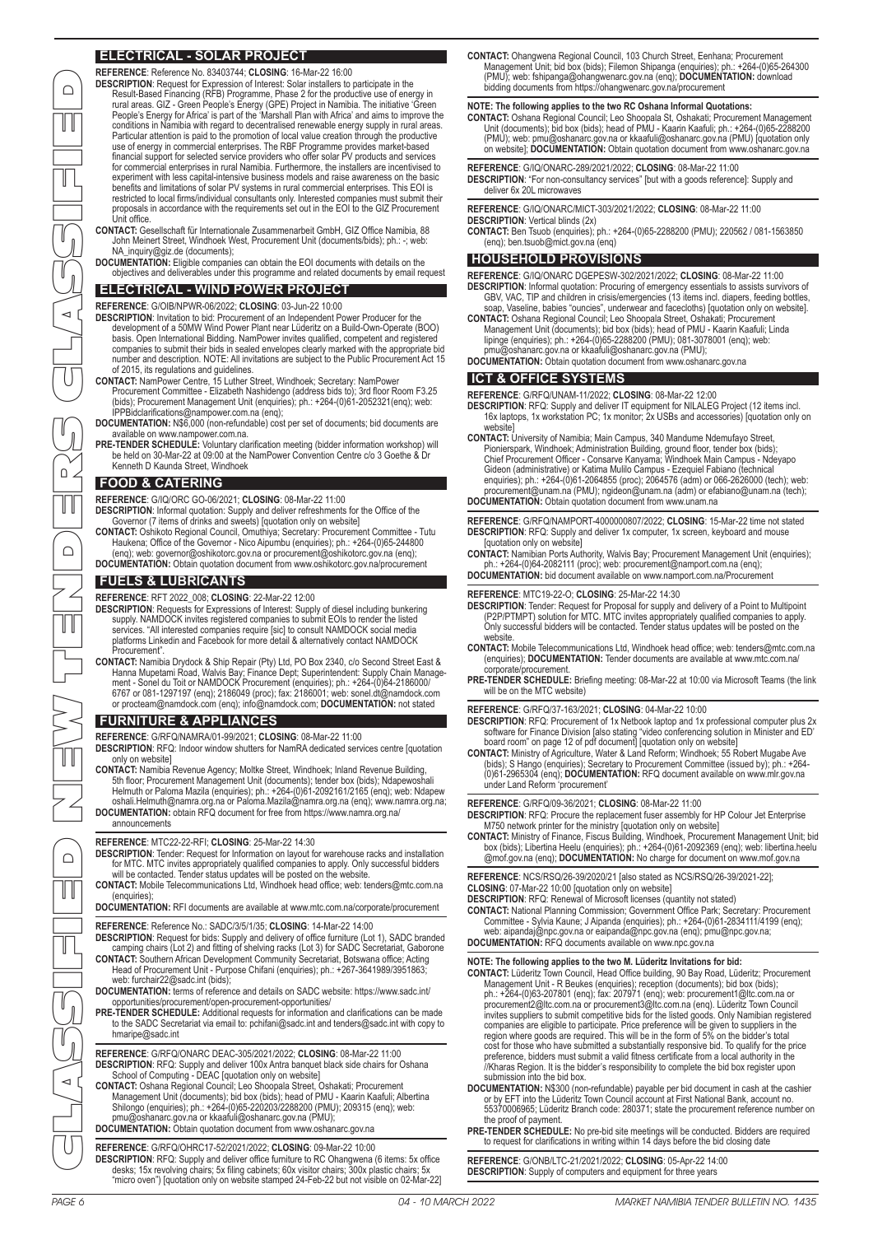## **ELECTRICAL - SOLAR PROJECT**

**REFERENCE**: Reference No. 83403744; **CLOSING**: 16-Mar-22 16:00

**CONTACT:** Gesellschaft für Internationale Zusammenarbeit GmbH, GIZ Office Namibia, 88 John Meinert Street, Windhoek West, Procurement Unit (documents/bids); ph.: -; web: NA\_inquiry@giz.de (documents);

**DOCUMENTATION:** Eligible companies can obtain the EOI documents with details on the objectives and deliverables under this programme and related documents by email request

## **ELECTRICAL - WIND POWER PROJECT**

**REFERENCE**: G/OIB/NPWR-06/2022; **CLOSING**: 03-Jun-22 10:00

- **DESCRIPTION:** Invitation to bid: Procurement of an Independent Power Producer for the development of a 50MW Wind Power Plant near Lüderitz on a Build-Own-Operate (BOO)<br>basis. Open International Bidding. NamPower invites qualified, competent and registered<br>companies to submit their bids in sealed envelopes c of 2015, its regulations and guidelines.
- **CONTACT:** NamPower Centre, 15 Luther Street, Windhoek; Secretary: NamPower Procurement Committee Elizabeth Nashidengo (address bids to); 3rd floor Room F3.25 (bids); Procurement Management Unit (enquiries); ph.: +264-(0)61-2052321(enq); web: IPPBidclarifications@nampower.com.na (enq);
- **DOCUMENTATION:** N\$6,000 (non-refundable) cost per set of documents; bid documents are available on www.nampower.com.na.
- **PRE-TENDER SCHEDULE:** Voluntary clarification meeting (bidder information workshop) will be held on 30-Mar-22 at 09:00 at the NamPower Convention Centre c/o 3 Goethe & Dr Kenneth D Kaunda Street, Windhoek

## **FOOD & CATERING**

**REFERENCE**: G/IQ/ORC GO-06/2021; **CLOSING**: 08-Mar-22 11:00

- 
- **DESCRIPTION:** Informal quotation: Supply and deliver refreshments for the Office of the Governor (7 items of drinks and sweets) [quotation only on website]<br>**CONTACT:** Oshikoto Regional Council, Omuthiya; Secretary: Procur

## **FUELS & LUBRICANTS**

**REFERENCE**: RFT 2022\_008; **CLOSING**: 22-Mar-22 12:00

- **DESCRIPTION**: Requests for Expressions of Interest: Supply of diesel including bunkering supply. NAMDOCK invites registered companies to submit EOIs to render the listed services. "All interested companies require [sic] to consult NAMDOCK social media platforms Linkedin and Facebook for more detail & alternatively contact NAMDOCK Procurement".
- **CONTACT:** Namibia Drydock & Ship Repair (Pty) Ltd, PO Box 2340, c/o Second Street East & Hanna Mupetami Road, Walvis Bay; Finance Dept; Superintendent: Supply Chain Manage-<br>ment - Sonel du Toit or NAMDOCK Procurement (enquiries); ph.: ≁264-(0)64-2186000/<br>6767 or 081-1297197 (enq); 2186049 (proc); fax: 218600

### **FURNITURE & APPLIANCES**

- **REFERENCE**: G/RFQ/NAMRA/01-99/2021; **CLOSING**: 08-Mar-22 11:00
- **DESCRIPTION**: RFQ: Indoor window shutters for NamRA dedicated services centre [quotation only on website]
- CONTACT: Namibia Revenue Agency; Moltke Street, Windhoek; Inland Revenue Building,<br>5th floor; Procurement Management Unit (documents); tender box (bids); Ndapewoshali<br>Helmuth or Paloma Mazila (enquiries); ph.: +264-(0)61-2
- announcements

#### **REFERENCE**: MTC22-22-RFI; **CLOSING**: 25-Mar-22 14:30

- **DESCRIPTION**: Tender: Request for Information on layout for warehouse racks and installation for MTC. MTC invites appropriately qualified companies to apply. Only successful bidders will be contacted. Tender status updates will be posted on the website.
- **CONTACT:** Mobile Telecommunications Ltd, Windhoek head office; web: tenders@mtc.com.na
- (enquiries); **DOCUMENTATION:** RFI documents are available at www.mtc.com.na/corporate/procurement
- **REFERENCE**: Reference No.: SADC/3/5/1/35; **CLOSING**: 14-Mar-22 14:00 **DESCRIPTION**: Request for bids: Supply and delivery of office furniture (Lot 1), SADC branded camping chairs (Lot 2) and fitting of shelving racks (Lot 3) for SADC Secretariat, Gaborone
- **CONTACT:** Southern African Development Community Secretariat, Botswana office; Acting Head of Procurement Unit - Purpose Chifani (enquiries); ph.: +267-3641989/3951863; web: furchair22@sadc.int (bids);
- **DOCUMENTATION:** terms of reference and details on SADC website: https://www.sadc.int/
- opportunities/procurement/open-procurement-opportunities/ **PRE-TENDER SCHEDULE:** Additional requests for information and clarifications can be made to the SADC Secretariat via email to: pchifani@sadc.int and tenders@sadc.int with copy to hmaripe@sadc.int
- **REFERENCE**: G/RFQ/ONARC DEAC-305/2021/2022; **CLOSING**: 08-Mar-22 11:00 DESCRIPTION: RFQ: Supply and deliver 100x Antra banquet black side chairs for Oshana<br>School of Computing - DEAC [quotation only on website]<br>CONTACT: Oshana Regional Council; Leo Shoopala Street, Oshakati; Procurement
- Management Unit (documents); bid box (bids); head of PMU Kaarin Kaafuli; Albertina Shilongo (enquiries); ph.: +264-(0)65-220203/2288200 (PMU); 209315 (enq); web: pmu@oshanarc.gov.na or kkaafuli@oshanarc.gov.na (PMU); **DOCUMENTATION:** Obtain quotation document from www.oshanarc.gov.na

- **REFERENCE**: G/RFQ/OHRC17-52/2021/2022; **CLOSING**: 09-Mar-22 10:00
- DESCRIPTION: RFQ: Supply and deliver office furniture to RC Ohangwena (6 items: 5x office<br>desks; 15x revolving chairs; 5x filing cabinets; 60x visitor chairs; 300x plastic chairs; 5x<br>"micro oven") [quotation only on websit

CONTACT: Ohangwena Regional Council, 103 Church Street, Eenhana; Procurement Unit; bid box (bids); Filemon Shipanga (enquiries); ph.: +264-(0)65-264300<br>(PMU); web: fshipanga@ohangwenarc.gov.na (enq); DOCUMENTATION: downloa bidding documents from https://ohangwenarc.gov.na/procurement

## **NOTE: The following applies to the two RC Oshana Informal Quotations:**

- CONTACT: Oshana Regional Council; Leo Shoopala St, Oshakati; Procurement Management<br>Unit (documents); bid box (bids); head of PMU Kaarin Kaafuli; ph.: +264-(0)65-2288200<br>(PMU): web: pmu@oshanarc.gov.na or kkaafuli@oshana
- **REFERENCE**: G/IQ/ONARC-289/2021/2022; **CLOSING**: 08-Mar-22 11:00
- **DESCRIPTION**: "For non-consultancy services" [but with a goods reference]: Supply and deliver 6x 20L microwaves

**REFERENCE**: G/IQ/ONARC/MICT-303/2021/2022; **CLOSING**: 08-Mar-22 11:00 **DESCRIPTION**: Vertical blinds (2x)

**CONTACT:** Ben Tsuob (enquiries); ph.: +264-(0)65-2288200 (PMU); 220562 / 081-1563850 (enq); ben.tsuob@mict.gov.na (enq)

## **HOUSEHOLD PROVISIONS**

**REFERENCE**: G/IQ/ONARC DGEPESW-302/2021/2022; **CLOSING**: 08-Mar-22 11:00 DESCRIPTION: Informal quotation: Procuring of emergency essentials to assists survivors of<br>GBV, VAC, TIP and children in crisis/emergencies (13 items incl. diapers, feeding bottles,<br>soap, Vaseline, babies "ouncies", underw

- **CONTACT:** Oshana Regional Council; Leo Shoopala Street, Oshakati; Procurement Management Unit (documents); bid box (bids); head of PMU - Kaarin Kaafuli; Linda<br>Iipinge (enquiries); ph.: +264-(0)65-2288200 (PMU); 081-3078001 (enq); web:<br>pmu@oshanarc.gov.na or kkaafuli@oshanarc.gov.na (PMU);
- **DOCUMENTATION:** Obtain quotation document from www.oshanarc.gov.na

#### **ICT & OFFICE SYSTEMS**

**REFERENCE**: G/RFQ/UNAM-11/2022; **CLOSING**: 08-Mar-22 12:00

- **DESCRIPTION**: RFQ: Supply and deliver IT equipment for NILALEG Project (12 items incl. 16x laptops, 1x workstation PC; 1x monitor; 2x USBs and accessories) [quotation only on
- website]<br>
CONTACT: University of Namibia; Main Campus, 340 Mandume Ndemufayo Street,<br>
CONTACT: University of Namibia; Main Campus, 340 Mandume Ndemufayo Street,<br>
Chief Procurement Officer Consarve Kanyama; Windhoek Main **DOCUMENTATION:** Obtain quotation document from www.unam.na
- **REFERENCE**: G/RFQ/NAMPORT-4000000807/2022; **CLOSING**: 15-Mar-22 time not stated **DESCRIPTION:** RFQ: Supply and deliver 1x computer, 1x screen, keyboard and mouse [quotation only on website]

**CONTACT:** Namibian Ports Authority, Walvis Bay; Procurement Management Unit (enquiries); ph.: +264-(0)64-2082111 (proc); web: procurement@namport.com.na (enq); **DOCUMENTATION:** bid document available on www.namport.com.na/Procurement

- 
- **REFERENCE**: MTC19-22-O; **CLOSING**: 25-Mar-22 14:30
- DESCRIPTION: Tender: Request for Proposal for supply and delivery of a Point to Multipoint<br>(P2P/PTMPT) solution for MTC. MTC invites appropriately qualified companies to apply<br>Only successful bidders will be contacted. Ten
- website. **CONTACT:** Mobile Telecommunications Ltd, Windhoek head office; web: tenders@mtc.com.na (enquiries); **DOCUMENTATION:** Tender documents are available at www.mtc.com.na/ corporate/procurement
- **PRE-TENDER SCHEDULE:** Briefing meeting: 08-Mar-22 at 10:00 via Microsoft Teams (the link will be on the MTC website)

**REFERENCE**: G/RFQ/37-163/2021; **CLOSING**: 04-Mar-22 10:00

- **DESCRIPTION**: RFQ: Procurement of 1x Netbook laptop and 1x professional computer plus 2x software for Finance Division [also stating "video conferencing solution in Minister and ED' board room" on page 12 of pdf document] [quotation only on website]
- CONTACT: Ministry of Agriculture, Water & Land Reform; Windhoek; 55 Robert Mugabe Ave<br>(bids); S Hango (enquiries); Secretary to Procurement Committee (issued by); ph.: +264<br>(0)61-2965304 (enq); DOCUMENTATION: RFQ document under Land Reform 'procurement'

**REFERENCE**: G/RFQ/09-36/2021; **CLOSING**: 08-Mar-22 11:00

**DESCRIPTION**: RFQ: Procure the replacement fuser assembly for HP Colour Jet Enterprise

M750 network printer for the ministry [quotation only on website]<br>CONTACT: Ministry of Finance, Fiscus Building, Windhoek, Procurement Management Unit; bid<br>box (bids); Libertina Heelu (enquiries); ph.: +264-(0)61-2092369 (

**REFERENCE**: NCS/RSQ/26-39/2020/21 [also stated as NCS/RSQ/26-39/2021-22]; **CLOSING**: 07-Mar-22 10:00 [quotation only on website]

**DESCRIPTION**: RFQ: Renewal of Microsoft licenses (quantity not stated) **CONTACT:** National Planning Commission; Government Office Park; Secretary: Procurement Committee - Sylvia Kaune; J Aipanda (enquiries); ph.: +264-(0)61-2834111/4199 (enq); web: aipandaj@npc.gov.na or eaipanda@npc.gov.na (enq); pmu@npc.gov.na; **DOCUMENTATION:** RFQ documents available on www.npc.gov.na

- NOTE: The following applies to the two M. Lüderitz Invitations for bid:<br>CONTACT: Lüderitz Town Council, Head Office building, 90 Bay Road, Lüderitz; Procurement<br>Management Unit R Beukes (enquiries); reception (documents) invites suppliers to submit competitive bids for the listed goods. Only Namibian registered<br>companies are eligible to participate. Price preference will be given to suppliers in the<br>region where goods are required. This wi preference, bidders must submit a valid fitness certificate from a local authority in the //Kharas Region. It is the bidder's responsibility to complete the bid box register upon submission into the bid box.
- **DOCUMENTATION:** N\$300 (non-refundable) payable per bid document in cash at the cashier or by EFT into the Lüderitz Town Council account at First National Bank, account no. 55370006965; Lüderitz Branch code: 280371; state the procurement reference number on the proof of payment.
- PRE-TENDER SCHEDULE: No pre-bid site meetings will be conducted. Bidders are required to request for clarifications in writing within 14 days before the bid closing date

**REFERENCE**: G/ONB/LTC-21/2021/2022; **CLOSING**: 05-Apr-22 14:00 **DESCRIPTION**: Supply of computers and equipment for three years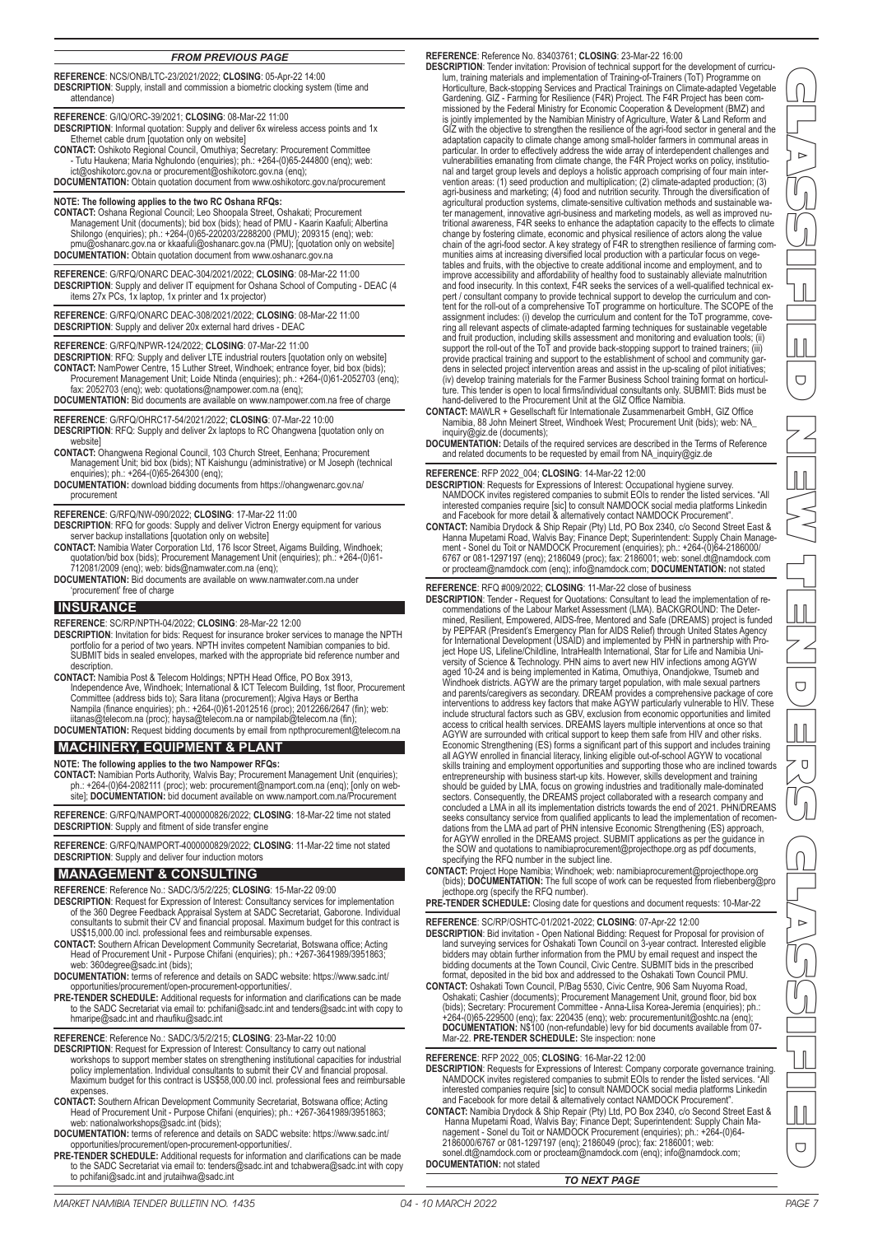#### *FROM PREVIOUS PAGE*

**REFERENCE**: NCS/ONB/LTC-23/2021/2022; **CLOSING**: 05-Apr-22 14:00 **DESCRIPTION**: Supply, install and commission a biometric clocking system (time and attendance)

**REFERENCE**: G/IQ/ORC-39/2021; **CLOSING**: 08-Mar-22 11:00

**DESCRIPTION**: Informal quotation: Supply and deliver 6x wireless access points and 1x Ethernet cable drum [quotation only on website]

**CONTACT:** Oshikoto Regional Council, Omuthiya; Secretary: Procurement Committee - Tutu Haukena; Maria Nghulondo (enquiries); ph.: +264-(0)65-244800 (enq); web:

ict@oshikotorc.gov.na or procurement@oshikotorc.gov.na (enq); **DOCUMENTATION:** Obtain quotation document from www.oshikotorc.gov.na/procurement

**NOTE: The following applies to the two RC Oshana RFQs:**

**CONTACT:** Oshana Regional Council; Leo Shoopala Street, Oshakati; Procurement Management Unit (documents); bid box (bids); head of PMU - Kaarin Kaafuli; Albertina Shilongo (enquiries); ph.: +264-(0)65-220203/2288200 (PMU); 209315 (enq); web: pmu@oshanarc.gov.na or kkaafuli@oshanarc.gov.na (PMU); [quotation only on website] **DOCUMENTATION:** Obtain quotation document from www.oshanarc.gov.na

**REFERENCE**: G/RFQ/ONARC DEAC-304/2021/2022; **CLOSING**: 08-Mar-22 11:00 **DESCRIPTION**: Supply and deliver IT equipment for Oshana School of Computing - DEAC (4 items 27x PCs, 1x laptop, 1x printer and 1x projector)

**REFERENCE**: G/RFQ/ONARC DEAC-308/2021/2022; **CLOSING**: 08-Mar-22 11:00 **DESCRIPTION**: Supply and deliver 20x external hard drives - DEAC

**REFERENCE**: G/RFQ/NPWR-124/2022; **CLOSING**: 07-Mar-22 11:00

**DESCRIPTION**: RFQ: Supply and deliver LTE industrial routers [quotation only on website] **CONTACT:** NamPower Centre, 15 Luther Street, Windhoek; entrance foyer, bid box (bids); Procurement Management Unit; Loide Ntinda (enquiries); ph.: +264-(0)61-2052703 (enq);

fax: 2052703 (enq); web: quotations@nampower.com.na (enq); **DOCUMENTATION:** Bid documents are available on www.nampower.com.na free of charge

**REFERENCE**: G/RFQ/OHRC17-54/2021/2022; **CLOSING**: 07-Mar-22 10:00 **DESCRIPTION**: RFQ: Supply and deliver 2x laptops to RC Ohangwena [quotation only on website]

- **CONTACT:** Ohangwena Regional Council, 103 Church Street, Eenhana; Procurement Management Unit; bid box (bids); NT Kaishungu (administrative) or M Joseph (technical enquiries); ph.: +264-(0)65-264300 (enq);
- **DOCUMENTATION:** download bidding documents from https://ohangwenarc.gov.na/ procurement
- **REFERENCE**: G/RFQ/NW-090/2022; **CLOSING**: 17-Mar-22 11:00
- **DESCRIPTION**: RFQ for goods: Supply and deliver Victron Energy equipment for various server backup installations [quotation only on website]
- CONTACT: Namibia Water Corporation Ltd, 176 Iscor Street, Aigams Building, Windhoek;<br>quotation/bid box (bids); Procurement Management Unit (enquiries); ph.: +264-(0)61-<br>712081/2009 (enq); web: bids@namwater.com.na (enq);
- **DOCUMENTATION:** Bid documents are available on www.namwater.com.na under 'procurement' free of charge

## **INSURANCE**

**REFERENCE**: SC/RP/NPTH-04/2022; **CLOSING**: 28-Mar-22 12:00

- **DESCRIPTION**: Invitation for bids: Request for insurance broker services to manage the NPTH portfolio for a period of two years. NPTH invites competent Namibian companies to bid. SUBMIT bids in sealed envelopes, marked with the appropriate bid reference number and
- description. **CONTACT:** Namibia Post & Telecom Holdings; NPTH Head Office, PO Box 3913, Independence Ave, Windhoek; International & ICT Telecom Building, 1st floor, Procurement Committee (address bids to); Sara litana (procurement); Algiva Hays or Bertha<br>Nampila (finance enquines); ph.: +264-(0)61-2012516 (proc); 2012266/2647 (fin); web:<br>iitanas@telecom.na (proc); haysa@telecom.na or nampilab@t

**DOCUMENTATION:** Request bidding documents by email from npthprocurement@telecom.na

## **MACHINERY, EQUIPMENT & PLANT**

**NOTE: The following applies to the two Nampower RFQs:**

**CONTACT:** Namibian Ports Authority, Walvis Bay; Procurement Management Unit (enquiries); ph.: +264-(0)64-2082111 (proc); web: procurement@namport.com.na (enq); [only on web-site]; **DOCUMENTATION:** bid document available on www.namport.com.na/Procurement

**REFERENCE**: G/RFQ/NAMPORT-4000000826/2022; **CLOSING**: 18-Mar-22 time not stated **DESCRIPTION**: Supply and fitment of side transfer engine

**REFERENCE**: G/RFQ/NAMPORT-4000000829/2022; **CLOSING**: 11-Mar-22 time not stated **DESCRIPTION**: Supply and deliver four induction motors

#### **MANAGEMENT & CONSULTING**

**REFERENCE**: Reference No.: SADC/3/5/2/225; **CLOSING**: 15-Mar-22 09:00

- **DESCRIPTION**: Request for Expression of Interest: Consultancy services for implementation of the 360 Degree Feedback Appraisal System at SADC Secretariat, Gaborone. Individual consultants to submit their CV and financial proposal. Maximum budget for this contract is US\$15,000.00 incl. professional fees and reimbursable expenses.
- **CONTACT:** Southern African Development Community Secretariat, Botswana office; Acting Head of Procurement Unit Purpose Chifani (enquiries); ph.: +267-3641989/3951863; web: 360degree@sadc.int (bids);
- **DOCUMENTATION:** terms of reference and details on SADC website: https://www.sadc.int/ opportunities/procurement/open-procurement-opportunities/.
- **PRE-TENDER SCHEDULE:** Additional requests for information and clarifications can be made to the SADC Secretariat via email to: pchifani@sadc.int and tenders@sadc.int with copy to hmaripe@sadc.int and rhaufiku@sadc.int

**REFERENCE**: Reference No.: SADC/3/5/2/215; **CLOSING**: 23-Mar-22 10:00

- **DESCRIPTION**: Request for Expression of Interest: Consultancy to carry out national workshops to support member states on strengthening institutional capacities for industrial policy implementation. Individual consultants to submit their CV and financial proposal. Maximum budget for this contract is US\$58,000.00 incl. professional fees and reimbursable expenses.
- **CONTACT:** Southern African Development Community Secretariat, Botswana office; Acting Head of Procurement Unit - Purpose Chifani (enquiries); ph.: +267-3641989/3951863; web: nationalworkshops@sadc.int (bids);
- **DOCUMENTATION:** terms of reference and details on SADC website: https://www.sadc.int/ opportunities/procurement/open-procurement-opportunities/.
- **PRE-TENDER SCHEDULE:** Additional requests for information and clarifications can be made to the SADC Secretariat via email to: tenders@sadc.int and tchabwera@sadc.int with copy to pchifani@sadc.int and jrutaihwa@sadc.int

**REFERENCE**: Reference No. 83403761; **CLOSING**: 23-Mar-22 16:00 **DESCRIPTION:** Tender invitation: Provision of technical support for the development of curriculum, training materials and implementation of Training-of-Trainers (ToT) Programme on the Horiculture, Back-stopping Services a particular. In order to effectively address the wide array of interdependent challenges and<br>vulnerabilities emanating from climate change, the F4R Project works on policy, institutio-<br>nal and target group levels and deploy ter management, innovative agri-business and marketing models, as well as improved nu-tritional awareness, F4R seeks to enhance the adaptation capacity to the effects to climate change by fostering climate, economic and physical resilience of actors along the value<br>chain of the agri-food sector. A key strategy of F4R to strengthen resilience of farming com-<br>munities aims at increasing diversified tables and fruits, with the objective to create additional income and employment, and to improve accessibility and affordability of healthy food to sustainably alleviate malnutrition and food insecurity. In this context, F4R seeks the services of a well-qualified technical expert / consultant company to provide technical support to develop the curriculum and con-<br> tent for the roll-out of a comprehensive ToT programme on horticulture. The SCOPE of the assignment includes: (i) develop the curriculum and content for the ToT programme, covering all relevant aspects of climate-adapted farming techniques for sustainable vegetable<br>and fruit production, including skills assessment and monitoring and evaluation tools; (ii)<br>support the roll-out of the ToT and prov ture. This tender is open to local firms/individual consultants only. SUBMIT: Bids must be hand-delivered to the Procurement Unit at the GIZ Office Namibia.

**CONTACT:** MAWLR + Gesellschaft für Internationale Zusammenarbeit GmbH, GIZ Office Namibia, 88 John Meinert Street, Windhoek West; Procurement Unit (bids); web: NA\_ inquiry@giz.de (documents);

**DOCUMENTATION:** Details of the required services are described in the Terms of Reference and related documents to be requested by email from NA\_inquiry@giz.de

**REFERENCE**: RFP 2022\_004; **CLOSING**: 14-Mar-22 12:00

- **DESCRIPTION**: Requests for Expressions of Interest: Occupational hygiene survey. NAMDOCK invites registered companies to submit EOIs to render the listed services. "All interested companies require [sic] to consult NAMDOCK social media platforms Linkedin and Facebook for more detail & alternatively contact NAMDOCK Procurement".
- **CONTACT:** Namibia Drydock & Ship Repair (Pty) Ltd, PO Box 2340, c/o Second Street East &<br>Hanna Mupetami Road, Walvis Bay; Finance Dept; Superintendent: Supply Chain Manage-<br>ment Sonel du Toit or NAMDOCK Procurement (enq

#### **REFERENCE**: RFQ #009/2022; **CLOSING**: 11-Mar-22 close of business

**DESCRIPTION**: Tender - Request for Quotations: Consultant to lead the implementation of recommendations of the Labour Market Assessment (LMA). BACKGROUND: The Determined, Resilient, Empowered, AIDS-free, Mentored and Safe (DREAMS) project is funded<br>by PEPFAR (President's Emergency Plan for AIDS Relief) through aged 10-24 and is being implemented in Katima, Omuthiya, Onandjokwe, Tsumeb and Windhoek districts. AGYW are the primary target population, with male sexual partners and parents/caregivers as secondary. DREAM provides a co entrepreneurship with business start-up kits. However, skills development and training<br>should be guided by LMA, focus on growing industries and traditionally male-dominated<br>sectors. Consequently, the DREAMS project collabo seeks consultancy service from qualified applicants to lead the implementation of recomen<br>dations from the LMA ad part of PHN intensive Economic Strengthening (ES) approach,<br>for AGYW enrolled in the DREAMS project. SUBMIT the SOW and quotations to namibiaprocurement@projecthope.org as pdf documents, specifying the RFQ number in the subject line.

- **CONTACT:** Project Hope Namibia; Windhoek; web: namibiaprocurement@projecthope.org (bids); **DOCUMENTATION:** The full scope of work can be requested from rliebenberg@pro
- jecthope.org (specify the RFQ number). **PRE-TENDER SCHEDULE:** Closing date for questions and document requests: 10-Mar-22

#### **REFERENCE**: SC/RP/OSHTC-01/2021-2022; **CLOSING**: 07-Apr-22 12:00

**DESCRIPTION**: Bid invitation - Open National Bidding: Request for Proposal for provision of land surveying services for Oshakati Town Council on 3-year contract. Interested eligible bidders may obtain further information from the PMU by email request and inspect the bidding documents at the Town Council, Civic Centre. SUBMIT bids in the prescribed format, deposited in the bid box and addressed to the Oshakati Town Council PMU.

**CONTACT:** Oshakati Town Council, P/Bag 5530, Civic Centre, 906 Sam Nuyoma Road, Oshakati; Cashier (documents); Procurement Management Unit, ground floor, bid box<br>(bids); Secretary: Procurement Committee - Anna-Liisa Korea-Jeremia (enquiries); ph.:<br>+264-(0)65-229500 (enq); fax: 220435 (enq); web: procu

**REFERENCE**: RFP 2022\_005; **CLOSING**: 16-Mar-22 12:00

**DESCRIPTION**: Requests for Expressions of Interest: Company corporate governance training. NAMDOCK invites registered companies to submit EOIs to render the listed services. "All interested companies require [sic] to consult NAMDOCK social media platforms Linkedin and Facebook for more detail & alternatively contact NAMDOCK Procurement".

CONTACT: Namibia Drydock & Ship Repair (Pty) Ltd, PO Box 2340, c/o Second Street East &<br>Hanna Mupetami Road, Walvis Bay; Finance Dept; Superintendent: Supply Chain Ma-<br>nagement - Sonel du Toit or NAMDOCK Procurement (enqui **DOCUMENTATION:** not stated

 $\overline{\Box}$ 

CLASSIFIED NEW TENDERS CLASSIFIED

 $\bigcup$ 

 $\Box$ 

 $\triangleright$ 

 $\overline{\Box}$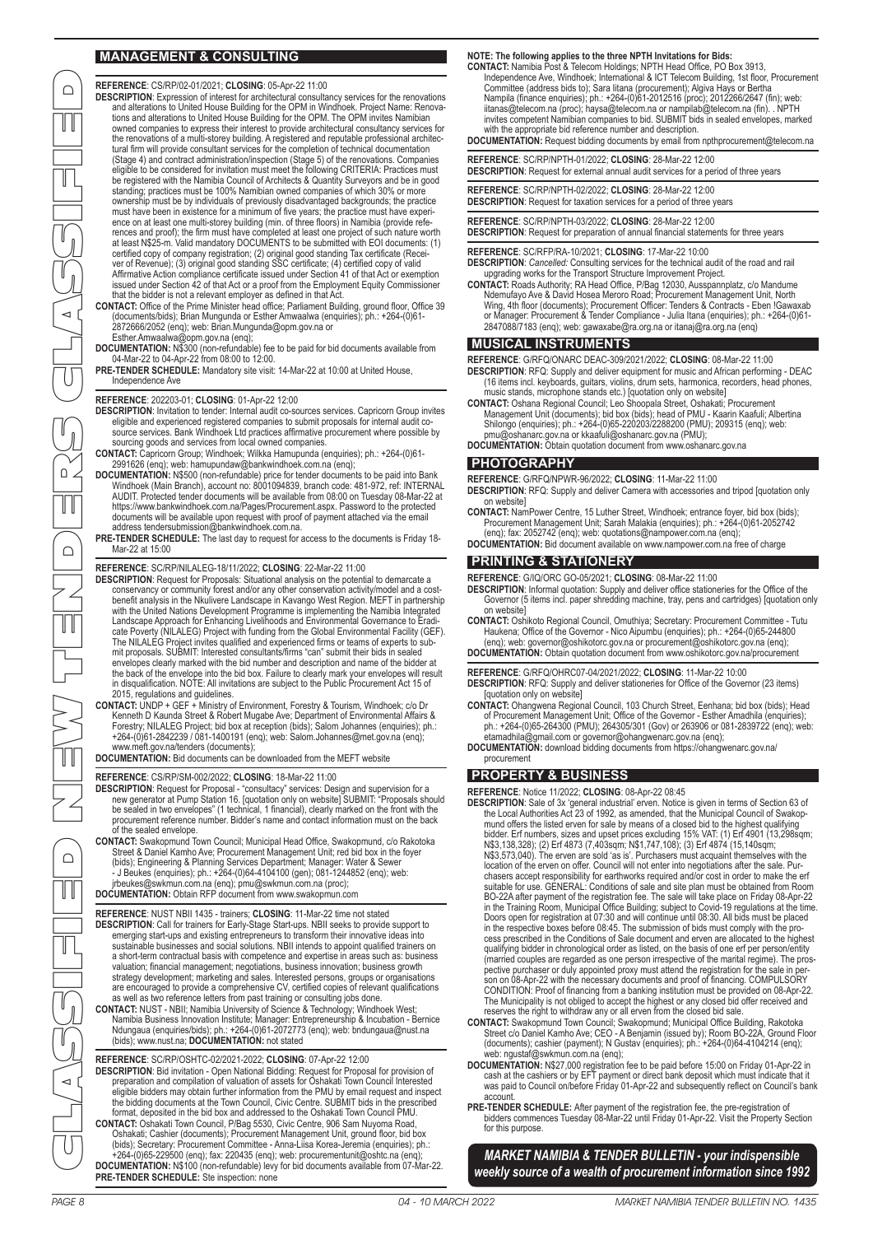## **MANAGEMENT & CONSULTING**

**REFERENCE**: CS/RP/02-01/2021; **CLOSING**: 05-Apr-22 11:00

- **DESCRIPTION**: Expression of interest for architectural consultancy services for the renovations and alterations to United House Building for the OPM in Windhoek. Project Name: Renovations and alterations to United House Building for the OPM. The OPM invites Namibian owned companies to express their interest to provide architectural consultancy services for the renovations of a multi-storey building. A registered and reputable professional architec-tural firm will provide consultant services for the completion of technical documentation (Stage 4) and contract administration/inspection (Stage 5) of the renovations. Companies<br>eligible to be considered for invitation must meet the following CRITERIA: Practices must<br>be registered with the Namibia Council of A must have been in existence for a minimum of five years; the practice must have experi-ence on at least one multi-storey building (min. of three floors) in Namibia (provide references and proof); the firm must have completed at least one project of such nature worth at least N\$25-m. Valid mandatory DOCUMENTS to be submitted with EOI documents: (1) certified copy of company registration; (2) original good standing Tax certificate (Recei-ver of Revenue); (3) original good standing SSC certificate; (4) certified copy of valid Affirmative Action compliance certificate issued under Section 41 of that Act or exemption issued under Section 42 of that Act or a proof from the Employment Equity Commissioner that the bidder is not a relevant employer as defined in that Act.
- **CONTACT:** Office of the Prime Minister head office; Parliament Building, ground floor, Office 39 (documents/bids); Brian Mungunda or Esther Amwaalwa (enquiries); ph.: +264-(0)61- 2872666/2052 (enq); web: Brian.Mungunda@opm.gov.na or Esther.Amwaalwa@opm.gov.na (enq);
- **DOCUMENTATION:** N\$300 (non-refundable) fee to be paid for bid documents available from 04-Mar-22 to 04-Apr-22 from 08:00 to 12:00.
- **PRE-TENDER SCHEDULE:** Mandatory site visit: 14-Mar-22 at 10:00 at United House, Independence Ave

**REFERENCE**: 202203-01; **CLOSING**: 01-Apr-22 12:00

- **DESCRIPTION**: Invitation to tender: Internal audit co-sources services. Capricorn Group invites eligible and experienced registered companies to submit proposals for internal audit co-source services. Bank Windhoek Ltd practices affirmative procurement where possible by
- sourcing goods and services from local owned companies. **CONTACT:** Capricorn Group; Windhoek; Wilkka Hamupunda (enquiries); ph.: +264-(0)61- 2991626 (enq); web: hamupundaw@bankwindhoek.com.na (enq);
- DOCUMENTATION: N\$500 (non-refundable) price for tender documents to be paid into Bank<br>Windhoek (Main Branch), account no: 8001094839, branch code: 481-972, ref: INTERNAL<br>AUDIT. Protected tender documents will be available https://www.bankwindhoek.com.na/Pages/Procurement.aspx. Password to the protected documents will be available upon request with proof of payment attached via the email address tendersubmission@bankwindhoek.com.na.
- **PRE-TENDER SCHEDULE:** The last day to request for access to the documents is Friday 18- Mar-22 at 15:00

#### **REFERENCE**: SC/RP/NILALEG-18/11/2022; **CLOSING**: 22-Mar-22 11:00

- **DESCRIPTION**: Request for Proposals: Situational analysis on the potential to demarcate a conservancy or community forest and/or any other conservation activity/model and a cost-<br>benefit analysis in the Nikulivere Landscape in Kavango West Region. MEFT in partnership<br>with the United Nations Development Programm cate Poverty (NILALEG) Project with funding from the Global Environmental Facility (GEF). The NILALEG Project invites qualified and experienced firms or teams of experts to submit proposals. SUBMIT: Interested consultants/firms "can" submit their bids in sealed envelopes clearly marked with the bid number and description and name of the bidder at the back of the envelope into the bid box. Failure to clearly mark your envelopes will result in disqualification. NOTE: All invitations are subject to the Public Procurement Act 15 of 2015, regulations and guidelines.
- CONTACT: UNDP + GEF + Ministry of Environment, Forestry & Tourism, Windhoek; c/o Dr<br>Kenneth D Kaunda Street & Robert Mugabe Ave; Department of Environmental Affairs &<br>Forestry; NILALEG Project; bid box at reception (bids); www.meft.gov.na/tenders (documents);

**DOCUMENTATION:** Bid documents can be downloaded from the MEFT website

#### **REFERENCE**: CS/RP/SM-002/2022; **CLOSING**: 18-Mar-22 11:00

- **DESCRIPTION**: Request for Proposal "consultacy" services: Design and supervision for a new generator at Pump Station 16. [quotation only on website] SUBMIT: "Proposals should be sealed in two envelopes" (1 technical, 1
- **CONTACT:** Swakopmund Town Council; Municipal Head Office, Swakopmund, c/o Rakotoka Street & Daniel Kamho Ave; Procurement Management Unit; red bid box in the foyer (bids); Engineering & Planning Services Department; Manager: Water & Sewer<br>- J Beukes (enquiries); ph.: +264-(0)64-4104100 (gen); 081-1244852 (enq); web:<br>jrbeukes@swkmun.com.na (enq); pmu@swkmun.com.na (proc); **DOCUMENTATION:** Obtain RFP document from www.swakopmun.com
- **REFERENCE**: NUST NBII 1435 trainers; **CLOSING**: 11-Mar-22 time not stated **DESCRIPTION:** Call for trainers for Early-Stage Start-ups. NBII seeks to provide support to emerging start-ups and existing entrepreneurs to transform their innovative ideas into sustainable businesses and social solution valuation; financial management; negotiations, business innovation; business growth strategy development; marketing and sales. Interested persons, groups or organisations are encouraged to provide a comprehensive CV, certified copies of relevant qualifications
- as well as two reference letters from past training or consulting jobs done.<br>
CONTACT: NUST NBII; Namibia University of Science & Technology; Windhoek West;<br>
Mamibia Business Innovation Institute; Manager: Entrepreneursh
- **REFERENCE**: SC/RP/OSHTC-02/2021-2022; **CLOSING**: 07-Apr-22 12:00 **DESCRIPTION**: Bid invitation Open National Bidding: Request for Proposal for provision of preparation and compilation of valuation of assets for Oshakati Town Council Interested<br>eligible bidders may obtain further information from the PMU by email request and inspect<br>the bidding documents at the Town Council, C **CONTACT:** Oshakati Town Council, P/Bag 5530, Civic Centre, 906 Sam Nuyoma Road,
- Oshakati; Cashier (documents); Procurement Management Unit, ground floor, bid box (bids); Secretary: Procurement Committee Anna-Liisa Korea-Jeremia (enquiries); ph.: +264-(0)65-229500 (enq); fax: 220435 (enq); web: procurementunit@oshtc.na (enq); **DOCUMENTATION:** N\$100 (non-refundable) levy for bid documents available from 07-Mar-22. **PRE-TENDER SCHEDULE:** Ste inspection: none

#### **NOTE: The following applies to the three NPTH Invitations for Bids:**

**CONTACT:** Namibia Post & Telecom Holdings; NPTH Head Office, PO Box 3913, Independence Ave, Windhoek; International & ICT Telecom Building, 1st floor, Procurement<br>Committee (address bids to); Sara Ilitana (procurement); Algiva Hays or Bertha<br>Nampila (finance enquiries); ph.: +264-(0)61-2012516 ( with the appropriate bid reference number and description.

**DOCUMENTATION:** Request bidding documents by email from npthprocurement@telecom.na

| <b>REFERENCE:</b> SC/RP/NPTH-01/2022: CLOSING: 28-Mar-22 12:00                             |
|--------------------------------------------------------------------------------------------|
| <b>DESCRIPTION:</b> Request for external annual audit services for a period of three years |

**REFERENCE**: SC/RP/NPTH-02/2022; **CLOSING**: 28-Mar-22 12:00 **DESCRIPTION**: Request for taxation services for a period of three years

**REFERENCE**: SC/RP/NPTH-03/2022; **CLOSING**: 28-Mar-22 12:00 **DESCRIPTION**: Request for preparation of annual financial statements for three years

## **REFERENCE**: SC/RFP/RA-10/2021; **CLOSING**: 17-Mar-22 10:00

- **DESCRIPTION**: *Cancelled:* Consulting services for the technical audit of the road and rail
- upgrading works for the Transport Structure Improvement Project.<br> **CONTACT:** Roads Authority; RA Head Office, P/Bag 12030, Ausspannplatz, c/o Mandume<br>
Netemutayo Ave & David Hosea Meroro Road; Procurement Management Unit,

#### **MUSICAL INSTRUMENTS**

**REFERENCE**: G/RFQ/ONARC DEAC-309/2021/2022; **CLOSING**: 08-Mar-22 11:00

- **DESCRIPTION:** RFQ: Supply and deliver equipment for music and African performing DEAC (16 items incl. keyboards, guitars, violins, drum sets, harmonica, recorders, head phones, music stands, microphone stands etc.) [quo Management Unit (documents); bid box (bids); head of PMU - Kaarin Kaafuli; Albertina Shilongo (enquiries); ph.: +264-(0)65-220203/2288200 (PMU); 209315 (enq); web:
- pmu@oshanarc.gov.na or kkaafuli@oshanarc.gov.na (PMU); **DOCUMENTATION:** Obtain quotation document from www.oshanarc.gov.na

## **PHOTOGRAPHY**

**REFERENCE**: G/RFQ/NPWR-96/2022; **CLOSING**: 11-Mar-22 11:00

- **DESCRIPTION**: RFQ: Supply and deliver Camera with accessories and tripod [quotation only on website]
- **CONTACT:** NamPower Centre, 15 Luther Street, Windhoek; entrance foyer, bid box (bids); Procurement Management Unit; Sarah Malakia (enquiries); ph.: +264-(0)61-2052742<br>(enq); fax: 2052742 (enq); web: quotations@nampower.com.na (enq);<br>DOCUMENTATION: Bid document available on www.nampower.com.na free of charge
- 

#### **PRINTING & STATIONERY**

**REFERENCE**: G/IQ/ORC GO-05/2021; **CLOSING**: 08-Mar-22 11:00

- **DESCRIPTION**: Informal quotation: Supply and deliver office stationeries for the Office of the Governor (5 items incl. paper shredding machine, tray, pens and cartridges) [quotation only on website]
- **CONTACT:** Oshikoto Regional Council, Omuthiya; Secretary: Procurement Committee Tutu Haukena; Office of the Governor - Nico Aipumbu (enquiries); ph.: +264-(0)65-244800 (enq); web: governor@oshikotorc.gov.na or procurement@oshikotorc.gov.na (enq); **DOCUMENTATION:** Obtain quotation document from www.oshikotorc.gov.na/procurement

**REFERENCE**: G/RFQ/OHRC07-04/2021/2022; **CLOSING**: 11-Mar-22 10:00 **DESCRIPTION**: RFQ: Supply and deliver stationeries for Office of the Governor (23 items)

[quotation only on website]<br> **CONTACT:** Ohangwena Regional Council, 103 Church Street, Eenhana; bid box (bids); Head<br>
of Procurement Management Unit; Office of the Governor - Esther Amadhila (enquiries);<br>
ph.: +264-(0)65-2

**DOCUMENTATION:** download bidding documents from https://ohangwenarc.gov.na/ procurement

## **PROPERTY & BUSINESS**

**REFERENCE**: Notice 11/2022; **CLOSING**: 08-Apr-22 08:45

- PAGE 8 04 10 MARCH 2022 MARKET NAMIBIA TENDER BULLETIN NO. 1435 MARKET NAMIBIA TENDER BULLETIN NO. 1435 MARKET NAMIBIA TENDER BULLETIN NO. 1435 MARKET NAMIBIA TENDER BULLETIN NO. 1435 MARKET NAMIBIA TENDER BULLETIN NO. 1 **DESCRIPTION:** Sale of 3x 'general industrial' erven. Notice is given in terms of Section 63 of<br>the Local Authorities Act 23 of 1992, as amended, that the Municipal Council of Swakop-<br>mund offers the listed erven for sale chasers accept responsibility for earthworks required and/or cost in order to make the erf suitable for use. GENERAL: Conditions of sale and site plan must be obtained from Room BO-22A after payment of the registration fee. The sale will take place on Friday 08-Apr-22<br>in the Training Room, Municipal Office Building; subject to Covid-19 regulations at the time<br>Doors open for registration at 07:30 a qualifying bidder in chronological order as listed, on the basis of one erf per person/entity<br>(married couples are regarded as one person irrespective of the marital regime). The pro-<br>pective purchaser or duly appointed pr
	-
	- DOCUMENTATION: N\$27,000 registration fee to be paid before 15:00 on Friday 01-Apr-22 in<br>cash at the cashiers or by EFT payment or direct bank deposit which must indicate that it<br>was paid to Council on/before Friday 01-Apraccount.
	- **PRE-TENDER SCHEDULE:** After payment of the registration fee, the pre-registration of<br>bidders commences Tuesday 08-Mar-22 until Friday 01-Apr-22. Visit the Property Section<br>for this purpose.

*MARKET NAMIBIA & TENDER BULLETIN - your indispensible weekly source of a wealth of procurement information since 1992*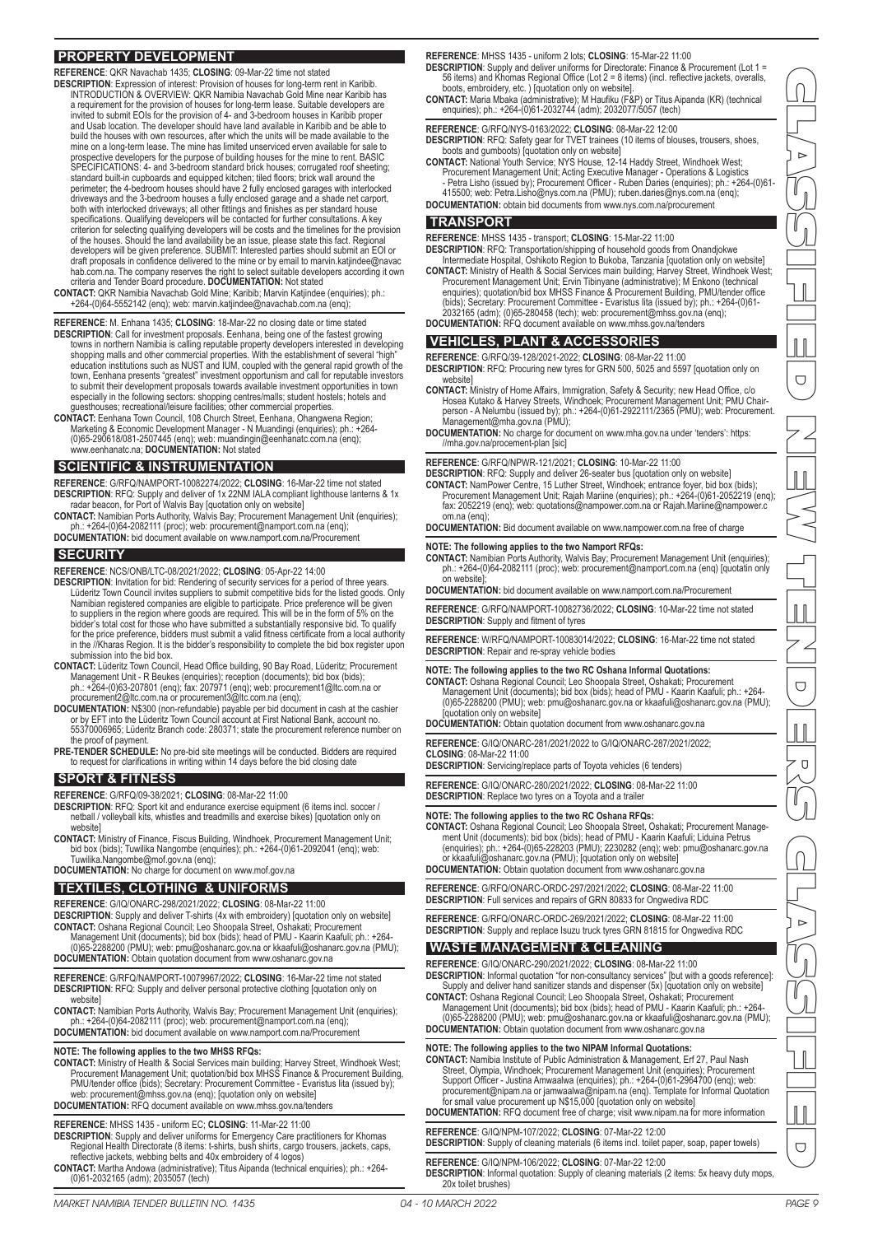## **PROPERTY DEVELOPMENT**

- **REFERENCE** : QKR Navachab 1435; **CLOSING**: 09-Mar-22 time not stated **DESCRIPTION** : Expression of interest: Provision of houses for long-term rent in Karibib. INTRODUCTION & OVERVIEW: QKR Namibia Navachab Gold Mine near Karibib has a requirement for the provision of houses for long-term lease. Suitable developers are invited to submit EOIs for the provision of 4- and 3-bedroom houses in Karibib proper and Usab location. The developer should have land available in Karibib and be able to build the houses with own resources, after which the units will be made available to the mine on a long-term lease. The mine has limited unserviced erven available for sale to prospective developers for the purpose of building houses for the mine to rent. BASIC SPECIFICATIONS: 4- and 3-bedroom standard brick houses; corrugated roof sheeting; standard built-in cupboards and equipped kitchen; tiled floors; brick wall around the perimeter; the 4-bedroom houses should have 2 fully enclosed garages with interlocked<br>driveways and the 3-bedroom houses a fully enclosed garage and a shade net carport,<br>both with interlocked driveways; all other fittings criterion for selecting qualifying developers will be costs and the timelines for the provision of the houses. Should the land availability be an issue, please state this fact. Regional developers will be given preference. SUBMIT: Interested parties should submit an EOI or draft proposals in confidence delivered to the mine or by email to marvin.katjindee@navac hab.com.na. The company reserves the right to select suitable developers according it own
- criteria and Tender Board procedure. **DOCUMENTATION:** Not stated **CONTACT:** QKR Namibia Navachab Gold Mine; Karibib; Marvin Katjindee (enquiries); ph.: +264-(0)64-5552142 (enq); web: marvin.katjindee@navachab.com.na (enq);
- **REFERENCE**: M. Enhana 1435; **CLOSING**: 18-Mar-22 no closing date or time stated **DESCRIPTION**: Call for investment proposals. Eenhana, being one of the fastest growing
- towns in northern Namibia is calling reputable property developers interested in developing shopping malls and other commercial properties. With the establishment of several "high" education institutions such as NUST and IUM, coupled with the general rapid growth of the town, Eenhana presents "greatest" investment opportunism and call for reputable investors to submit their development proposals towards available investment opportunities in town<br>especially in the following sectors: shopping centres/malls; student hostels; hotels and<br>guesthouses; recreational/leisure facilities
- **CONTACT:** Eenhana Town Council, 108 Church Street, Eenhana, Ohangwena Region; Marketing & Economic Development Manager N Muandingi (enquiries); ph.: +264- (0)65-290618/081-2507445 (enq); web: muandingin@eenhanatc.com.na (enq); www.eenhanatc.na; **DOCUMENTATION:** Not stated

## **SCIENTIFIC & INSTRUMENTATION**

- **REFERENCE**: G/RFQ/NAMPORT-10082274/2022; **CLOSING**: 16-Mar-22 time not stated DESCRIPTION: RFQ: Supply and deliver of 1x 22NM IALA compliant lighthouse lanterns & 1x<br>radar beacon, for Port of Walvis Bay [quotation only on website]<br>CONTACT: Namibian Ports Authority, Walvis Bay; Procurement Management
- ph.: +264-(0)64-2082111 (proc); web: procurement@namport.com.na (enq); **DOCUMENTATION:** bid document available on www.namport.com.na/Procurement

#### **SECURITY**

- **REFERENCE**: NCS/ONB/LTC-08/2021/2022; **CLOSING**: 05-Apr-22 14:00
- **DESCRIPTION**: Invitation for bid: Rendering of security services for a period of three years. Lüderitz Town Council invites suppliers to submit competitive bids for the listed goods. Only Namibian registered companies are eligible to participate. Price preference will be given to suppliers in the region where goods are required. This will be in the form of 5% on the bidder's total cost for those who have submitted a substantially responsive bid. To qualify for the price preference, bidders must submit a valid fitness certificate from a local authority in the //Kharas Region. It is the bidder's responsibility to complete the bid box register upon submission into the bid box.
- **CONTACT:** Lüderitz Town Council, Head Office building, 90 Bay Road, Lüderitz; Procurement Management Unit - R Beukes (enquiries); reception (documents); bid box (bids); ph.: +264-(0)63-207801 (enq); fax: 207971 (enq); web: procurement1@ltc.com.na or
- procurement2@ltc.com.na or procurement3@ltc.com.na (enq);<br>**DOCUMENTATION:** N\$300 (non-refundable) payable per bid document in cash at the cashier<br>or by EFT into the Lüderitz Town Council account at First National Bank, acc the proof of payment.
- **PRE-TENDER SCHEDULE:** No pre-bid site meetings will be conducted. Bidders are required to request for clarifications in writing within 14 days before the bid closing date

#### **SPORT & FITNESS**

**REFERENCE**: G/RFQ/09-38/2021; **CLOSING**: 08-Mar-22 11:00

- **DESCRIPTION**: RFQ: Sport kit and endurance exercise equipment (6 items incl. soccer / netball / volleyball kits, whistles and treadmills and exercise bikes) [quotation only on website]
- **CONTACT:** Ministry of Finance, Fiscus Building, Windhoek, Procurement Management Unit; bid box (bids); Tuwilika Nangombe (enquiries); ph.: +264-(0)61-2092041 (enq); web: Tuwilika.Nangombe@mof.gov.na (enq);
- **DOCUMENTATION:** No charge for document on www.mof.gov.na

#### **TEXTILES, CLOTHING & UNIFORMS**

- **REFERENCE**: G/IQ/ONARC-298/2021/2022; **CLOSING**: 08-Mar-22 11:00
- **DESCRIPTION**: Supply and deliver T-shirts (4x with embroidery) [quotation only on website]<br>**CONTACT:** Oshana Regional Council; Leo Shoopala Street, Oshakati; Procurement<br>Management Unit (documents); bid box (bids); head o
- **DOCUMENTATION:** Obtain quotation document from www.oshanarc.gov.na
- **REFERENCE**: G/RFQ/NAMPORT-10079967/2022; **CLOSING**: 16-Mar-22 time not stated **DESCRIPTION:** RFQ: Supply and deliver personal protective clothing [quotation only on website]
- **CONTACT:** Namibian Ports Authority, Walvis Bay; Procurement Management Unit (enquiries); ph.: +264-(0)64-2082111 (proc); web: procurement@namport.com.na (enq); **DOCUMENTATION:** bid document available on www.namport.com.na/Procurement

NOTE: The following applies to the two MHSS RFQs:<br>CONTACT: Ministry of Health & Social Services main building; Harvey Street, Windhoek West;<br>Procurement Management Unit; quotation/bid box MHSS Finance & Procurement Buildin PMU/tender office (bids); Secretary: Procurement Committee - Evaristus Iita (issued by); web: procurement@mhss.gov.na (enq); [quotation only on website] **DOCUMENTATION:** RFQ document available on www.mhss.gov.na/tenders

#### **REFERENCE**: MHSS 1435 - uniform EC; **CLOSING**: 11-Mar-22 11:00

- **DESCRIPTION**: Supply and deliver uniforms for Emergency Care practitioners for Khomas Regional Health Directorate (8 items: t-shirts, bush shirts, cargo trousers, jackets, caps, reflective jackets, webbing belts and 40x embroidery of 4 logos)
- **CONTACT:** Martha Andowa (administrative); Titus Aipanda (technical enquiries); ph.: +264- (0)61-2032165 (adm); 2035057 (tech)

**REFERENCE**: MHSS 1435 - uniform 2 lots; **CLOSING**: 15-Mar-22 11:00

- **DESCRIPTION**: Supply and deliver uniforms for Directorate: Finance & Procurement (Lot 1 = 56 items) and Khomas Regional Office (Lot 2 = 8 items) (incl. reflective jackets, overalls, boots, embroidery, etc. ) [quotation only on website].
- **CONTACT:** Maria Mbaka (administrative); M Haufiku (F&P) or Titus Aipanda (KR) (technical enquiries); ph.: +264-(0)61-2032744 (adm); 2032077/5057 (tech)
- **REFERENCE**: G/RFQ/NYS-0163/2022; **CLOSING**: 08-Mar-22 12:00 **DESCRIPTION**: RFQ: Safety gear for TVET trainees (10 items of blouses, trousers, shoes,
- boots and gumboots) [quotation only on website]
- CONTACT: National Youth Service; NYS House, 12-14 Haddy Street, Windhoek West;<br>Procurement Management Unit; Acting Executive Manager Operations & Logistics<br>Petra Lisho (issued by); Procurement Officer Ruben Daries (enq 415500; web: Petra.Lisho@nys.com.na (PMU); ruben.daries@nys.com.na (enq); **DOCUMENTATION:** obtain bid documents from www.nys.com.na/procurement

### **TRANSPORT**

- **REFERENCE**: MHSS 1435 transport; **CLOSING**: 15-Mar-22 11:00
- **DESCRIPTION**: RFQ: Transportation/shipping of household goods from Onandjokwe Intermediate Hospital, Oshikoto Region to Bukoba, Tanzania [quotation only on website] **CONTACT:** Ministry of Health & Social Services main building; Harvey Street, Windhoek West; Procurement Management Unit; Ervin Tibinyane (administrative); M Enkono (technical enquiries); quotation/bid box MHSS Finance & Procurement Building, PMU/tender office<br>(bids); Secretary: Procurement Committee - Evaristus lita (issued by); ph.: +264-(0)61-<br>2032165 (adm); (0)65-280458 (tech); web: procurem
- **DOCUMENTATION:** RFQ document available on www.mhss.gov.na/tenders

## **VEHICLES, PLANT & ACCESSORIES**

- **REFERENCE**: G/RFQ/39-128/2021-2022; **CLOSING**: 08-Mar-22 11:00 **DESCRIPTION**: RFQ: Procuring new tyres for GRN 500, 5025 and 5597 [quotation only on
- website] **CONTACT:** Ministry of Home Affairs, Immigration, Safety & Security; new Head Office, c/o Hosea Kutako & Harvey Streets, Windhoek; Procurement Management Unit; PMU Chair-person - A Nelumbu (issued by); ph.: +264-(0)61-2922111/2365 (PMU); web: Procurement.
- Management@mha.gov.na (PMU); **DOCUMENTATION:** No charge for document on www.mha.gov.na under 'tenders': https: //mha.gov.na/procement-plan [sic]

#### **REFERENCE**: G/RFQ/NPWR-121/2021; **CLOSING**: 10-Mar-22 11:00

- **DESCRIPTION**: RFQ: Supply and deliver 26-seater bus [quotation only on website] CONTACT: NamPower Centre, 15 Luther Street, Windhoek; entrance foyer, bid box (bids);<br>Procurement Management Unit; Rajah Mariine (enquiries); ph: +264-(0)6152219 (enq);<br>fax: 2052219 (enq); web: quotations@nampower.com.na o om.na (enq);
- **DOCUMENTATION:** Bid document available on www.nampower.com.na free of charge

#### **NOTE: The following applies to the two Namport RFQs:**

- **CONTACT:** Namibian Ports Authority, Walvis Bay; Procurement Management Unit (enquiries); ph.: +264-(0)64-2082111 (proc); web: procurement@namport.com.na (enq) [quotatin only on website];
- **DOCUMENTATION:** bid document available on www.namport.com.na/Procurement
- **REFERENCE**: G/RFQ/NAMPORT-10082736/2022; **CLOSING**: 10-Mar-22 time not stated
- **DESCRIPTION**: Supply and fitment of tyres
- **REFERENCE**: W/RFQ/NAMPORT-10083014/2022; **CLOSING**: 16-Mar-22 time not stated **DESCRIPTION**: Repair and re-spray vehicle bodies

#### **NOTE: The following applies to the two RC Oshana Informal Quotations:**

- CONTACT: Oshana Regional Council; Leo Shoopala Street, Oshakati; Procurement<br>- Management Unit (documents); bid box (bids); head of PMU Kaarin Kaafuli; ph.: +264<br>- (0)65-2288200 (PMU); web: pmu@oshanarc.gov.na or kkaaful [quotation only on website]
- **DOCUMENTATION:** Obtain quotation document from www.oshanarc.gov.na
- **REFERENCE**: G/IQ/ONARC-281/2021/2022 to G/IQ/ONARC-287/2021/2022;
- **CLOSING**: 08-Mar-22 11:00
- **DESCRIPTION**: Servicing/replace parts of Toyota vehicles (6 tenders)
- **REFERENCE**: G/IQ/ONARC-280/2021/2022; **CLOSING**: 08-Mar-22 11:00 **DESCRIPTION**: Replace two tyres on a Toyota and a trailer

#### **NOTE: The following applies to the two RC Oshana RFQs:**

- **CONTACT:** Oshana Regional Council; Leo Shoopala Street, Oshakati; Procurement Manage-<br>ment Unit (documents); bid box (bids); head of PMU Kaarini Kaafuli; Liduina Petrus<br>enquiries); ph.: +264-(0)65-228203 (PMU); 2230282
- or kkaafuli@oshanarc.gov.na (PMU); [quotation only on website]
- **DOCUMENTATION:** Obtain quotation document from www.oshanarc.gov.na
- **REFERENCE**: G/RFQ/ONARC-ORDC-297/2021/2022; **CLOSING**: 08-Mar-22 11:00 **DESCRIPTION**: Full services and repairs of GRN 80833 for Ongwediva RDC
- **REFERENCE**: G/RFQ/ONARC-ORDC-269/2021/2022; **CLOSING**: 08-Mar-22 11:00
- **DESCRIPTION**: Supply and replace Isuzu truck tyres GRN 81815 for Ongwediva RDC

## **WASTE MANAGEMENT & CLEANING**

- **REFERENCE**: G/IQ/ONARC-290/2021/2022; **CLOSING**: 08-Mar-22 11:00 **DESCRIPTION**: Informal quotation "for non-consultancy services" [but with a goods reference]:
- Supply and deliver hand sanitizer stands and dispenser (5x) [quotation only on website] **CONTACT:** Oshana Regional Council; Leo Shoopala Street, Oshakati; Procurement
- Management Unit (documents); bid box (bids); head of PMU Kaarin Kaafuli; ph.: +264- (0)65-2288200 (PMU); web: pmu@oshanarc.gov.na or kkaafuli@oshanarc.gov.na (PMU); **DOCUMENTATION:** Obtain quotation document from www.oshanarc.gov.na

## **NOTE: The following applies to the two NIPAM Informal Quotations:**

- **CONTACT:** Namibia Institute of Public Administration & Management, Erf 27, Paul Nash Street, Olympia, Windhoek; Procurement Management Unit (enquiries); Procurement Support Officer - Justina Amwaalwa (enquiries); ph.: +264-(0)61-2964700 (enq); web: procurement@nipam.na or jamwaalwa@nipam.na (enq). Template for Informal Quotation for small value procurement up N\$15,000 [quotation only on website]
- **DOCUMENTATION:** RFQ document free of charge; visit www.nipam.na for more information

## **REFERENCE**: G/IQ/NPM-107/2022; **CLOSING**: 07-Mar-22 12:00

#### **DESCRIPTION**: Supply of cleaning materials (6 items incl. toilet paper, soap, paper towels)

**REFERENCE**: G/IQ/NPM-106/2022; **CLOSING**: 07-Mar-22 12:00 **DESCRIPTION**: Informal quotation: Supply of cleaning materials (2 items: 5x heavy duty mops, 20x toilet brushes)

CLASSIFIED NEW TENDERS CLASSIFIED  $\overline{\Box}$  $\bigcup$ Ū  $\overline{\Box}$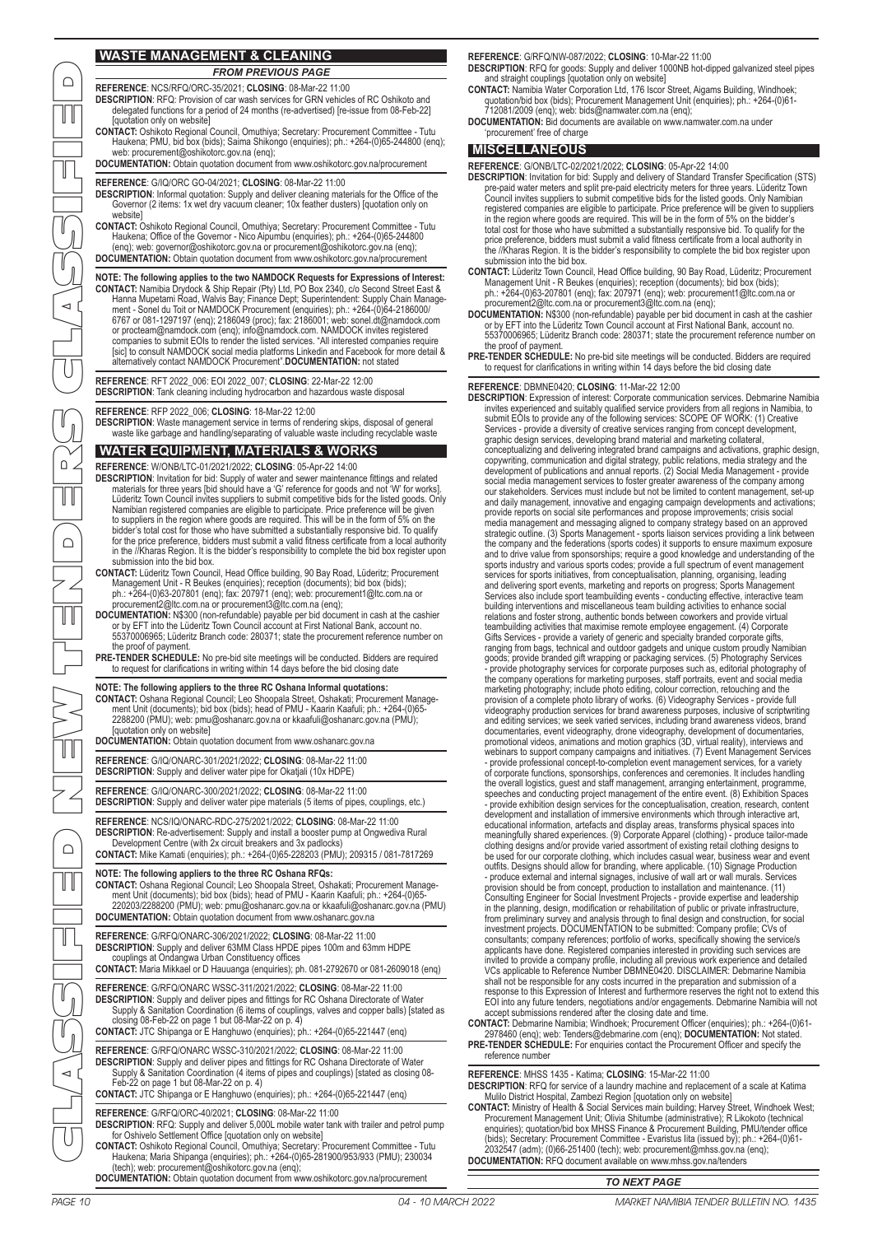## **WASTE MANAGEMENT & CLEANING**

**REFERENCE**: NCS/RFQ/ORC-35/2021; **CLOSING**: 08-Mar-22 11:00 *FROM PREVIOUS PAGE*

- **DESCRIPTION**: RFQ: Provision of car wash services for GRN vehicles of RC Oshikoto and delegated functions for a period of 24 months (re-advertised) [re-issue from 08-Feb-22] [quotation only on website]
- **CONTACT:** Oshikoto Regional Council, Omuthiya; Secretary: Procurement Committee Tutu Haukena; PMU, bid box (bids); Saima Shikongo (enquiries); ph.: +264-(0)65-244800 (enq); web: procurement@oshikotorc.gov.na (enq);

**DOCUMENTATION:** Obtain quotation document from www.oshikotorc.gov.na/procurement

**REFERENCE**: G/IQ/ORC GO-04/2021; **CLOSING**: 08-Mar-22 11:00

- **DESCRIPTION:** Informal quotation: Supply and deliver cleaning materials for the Office of the Governor (2 items: 1x wet dry vacuum cleaner; 10x feather dusters) [quotation only on website]
- **CONTACT:** Oshikoto Regional Council, Omuthiya; Secretary: Procurement Committee Tutu Haukena; Office of the Governor - Nico Aipumbu (enquiries); ph.: +264-(0)65-244800 (enq); web: governor@oshikotorc.gov.na or procurement@oshikotorc.gov.na (enq); **DOCUMENTATION:** Obtain quotation document from www.oshikotorc.gov.na/procurement

NOTE: The following applies to the two NAMDOCK Requests for Expressions of Interest:<br>CONTACT: Namibia Drydock & Ship Repair (Pty) Ltd, PO Box 2340, c/o Second Street East &<br>Hanna Mupetami Road, Walvis Bay, Finance Dept; Su

**REFERENCE**: RFT 2022\_006: EOI 2022\_007; **CLOSING**: 22-Mar-22 12:00 **DESCRIPTION:** Tank cleaning including hydrocarbon and hazardous waste disposal

**REFERENCE**: RFP 2022\_006; **CLOSING**: 18-Mar-22 12:00

**DESCRIPTION**: Waste management service in terms of rendering skips, disposal of general waste like garbage and handling/separating of valuable waste including recyclable waste

## **WATER EQUIPMENT, MATERIALS & WORKS**

**REFERENCE**: W/ONB/LTC-01/2021/2022; **CLOSING**: 05-Apr-22 14:00

- **DESCRIPTION**: Invitation for bid: Supply of water and sewer maintenance fittings and related materials for three years [bid should have a 'G' reference for goods and not 'W' for works].<br>Lüderitz Town Council invites suppliers to submit competitive bids for the listed goods. Only<br>Namibian registered companies are e in the //Kharas Region. It is the bidder's responsibility to complete the bid box register upon submission into the bid box.
- **CONTACT:** Lüderitz Town Council, Head Office building, 90 Bay Road, Lüderitz; Procurement Management Unit - R Beukes (enquiries); reception (documents); bid box (bids); ph.: +264-(0)63-207801 (enq); fax: 207971 (enq); web: procurement1@ltc.com.na or procurement2@ltc.com.na or procurement3@ltc.com.na (enq);
- **DOCUMENTATION:** N\$300 (non-refundable) payable per bid document in cash at the cashier or by EFT into the Lüderitz Town Council account at First National Bank, account no. 55370006965; Lüderitz Branch code: 280371; state the procurement reference number on the proof of payment.
- **PRE-TENDER SCHEDULE:** No pre-bid site meetings will be conducted. Bidders are required to request for clarifications in writing within 14 days before the bid closing date

#### **NOTE: The following appliers to the three RC Oshana Informal quotations:**

**CONTACT:** Oshana Regional Council; Leo Shoopala Street, Oshakati; Procurement Manage-ment Unit (documents); bid box (bids); head of PMU - Kaarin Kaafuli; ph.: +264-(0)65- 2288200 (PMU); web: pmu@oshanarc.gov.na or kkaafuli@oshanarc.gov.na (PMU); [quotation only on website]

**DOCUMENTATION:** Obtain quotation document from www.oshanarc.gov.na

**REFERENCE**: G/IQ/ONARC-301/2021/2022; **CLOSING**: 08-Mar-22 11:00 **DESCRIPTION**: Supply and deliver water pipe for Okatjali (10x HDPE)

**REFERENCE**: G/IQ/ONARC-300/2021/2022; **CLOSING**: 08-Mar-22 11:00

**DESCRIPTION**: Supply and deliver water pipe materials (5 items of pipes, couplings, etc.)

**REFERENCE**: NCS/IQ/ONARC-RDC-275/2021/2022; **CLOSING**: 08-Mar-22 11:00 DESCRIPTION: Re-advertisement: Supply and install a booster pump at Ongwediva Rural<br>Development Centre (with 2x circuit breakers and 3x padlocks)<br>CONTACT: Mike Kamati (enquiries); ph.: +264-(0)65-228203 (PMU); 209315 / 081

#### **NOTE: The following appliers to the three RC Oshana RFQs:**

**CONTACT:** Oshana Regional Council; Leo Shoopala Street, Oshakati; Procurement Manage-ment Unit (documents); bid box (bids); head of PMU - Kaarin Kaafuli; ph.: +264-(0)65- 220203/2288200 (PMU); web: pmu@oshanarc.gov.na or kkaafuli@oshanarc.gov.na (PMU) **DOCUMENTATION:** Obtain quotation document from www.oshanarc.gov.na

**REFERENCE**: G/RFQ/ONARC-306/2021/2022; **CLOSING**: 08-Mar-22 11:00 **DESCRIPTION**: Supply and deliver 63MM Class HPDE pipes 100m and 63mm HDPE couplings at Ondangwa Urban Constituency offices

**CONTACT:** Maria Mikkael or D Hauuanga (enquiries); ph. 081-2792670 or 081-2609018 (enq)

**REFERENCE**: G/RFQ/ONARC WSSC-311/2021/2022; **CLOSING**: 08-Mar-22 11:00 **DESCRIPTION**: Supply and deliver pipes and fittings for RC Oshana Directorate of Water Supply & Sanitation Coordination (6 items of couplings, valves and copper balls) [stated as closing 08-Feb-22 on page 1 but 08-Mar-22 on p. 4)

**CONTACT:** JTC Shipanga or E Hanghuwo (enquiries); ph.: +264-(0)65-221447 (enq)

**REFERENCE**: G/RFQ/ONARC WSSC-310/2021/2022; **CLOSING**: 08-Mar-22 11:00 **DESCRIPTION:** Supply and deliver pipes and fittings for RC Oshana Directorate of Water Supply & Sanitation Coordination (4 items of pipes and couplings) [stated as closing 08- Feb-22 on page 1 but 08-Mar-22 on p. 4) **CONTACT:** JTC Shipanga or E Hanghuwo (enquiries); ph.: +264-(0)65-221447 (enq)

## **REFERENCE**: G/RFQ/ORC-40/2021; **CLOSING**: 08-Mar-22 11:00

**DESCRIPTION**: RFQ: Supply and deliver 5,000L mobile water tank with trailer and petrol pump for Oshivelo Settlement Office [quotation only on website]

- **CONTACT:** Oshikoto Regional Council, Omuthiya; Secretary: Procurement Committee Tutu Haukena; Maria Shipanga (enquiries); ph.: +264-(0)65-281900/953/933 (PMU); 230034 (tech); web: procurement@oshikotorc.gov.na (enq); **DOCUMENTATION:** Obtain quotation document from www.oshikotorc.gov.na/procurement
- 

**REFERENCE**: G/RFQ/NW-087/2022; **CLOSING**: 10-Mar-22 11:00 **DESCRIPTION**: RFQ for goods: Supply and deliver 1000NB hot-dipped galvanized steel pipes and straight couplings [quotation only on website]

- CONTACT: Namibia Water Corporation Ltd, 176 Iscor Street, Aigams Building, Windhoek;<br>quotation/bid box (bids); Procurement Management Unit (enquiries); ph.: +264-(0)61-<br>712081/2009 (enq); web: bids@namwater.com.na (enq);
- **DOCUMENTATION:** Bid documents are available on www.namwater.com.na under 'procurement' free of charge

## **MISCELLANEOUS**

#### **REFERENCE**: G/ONB/LTC-02/2021/2022; **CLOSING**: 05-Apr-22 14:00

- DESCRIPTION: Invitation for bid: Supply and delivery of Standard Transfer Specification (STS)<br>pre-paid water meters and split pre-paid electricity meters for three years. Lüderitz Town<br>Council invites suppliers to submit c registered companies are eligible to participate. Price preference will be given to suppliers<br>in the region where goods are required. This will be in the form of 5% on the bidder's<br>total cost for those who have submitted a the //Kharas Region. It is the bidder's responsibility to complete the bid box register upon submission into the bid box.
- CONTACT: Lüderitz Town Council, Head Office building, 90 Bay Road, Lüderitz; Procurement<br>
Management Unit R Beukes (enquiries); reception (documents); bid box (bids);<br>
ph.: +264-(0)63-207801 (enq); fax: 207971 (enq); web
- the proof of payment.
- **PRE-TENDER SCHEDULE:** No pre-bid site meetings will be conducted. Bidders are required to request for clarifications in writing within 14 days before the bid closing date

#### **REFERENCE**: DBMNE0420; **CLOSING**: 11-Mar-22 12:00

PAGE 10 04 - 10 MARCH 2022 MARKET NAMIBIA TENDER BULLETIN NO. 1435 MARKET NAMIBIA TENDER BULLETIN NO. 1435 04 - 10 MARCH 2022 PAGE 11 CLASSIFIED NEW TENDERS CLASSIFIED DESCRIPTION: Expression of interest: Corporate communication services. Debmarine Namibia<br>invites experienced and suitably qualified service providers from all regions in Namibia, to<br>submit EOIs to provide any of the follow Services - provide a diversity of creative services ranging from concept development,<br>graphic design services, developing brand material and marketing collateral,<br>conceptualizing and delivering integrated brand campaigns a copywriting, communication and digital strategy, public relations, media strategy and the<br>development of publications and annual reports. (2) Social Media Management - provide<br>social media management services to foster gre and daily management, innovative and engaging campaign developments and activations;<br>provide reports on social site performances and propose improvements; crisis social<br>media management and messaging aligned to company str strategic outline. (3) Sports Management - sports liaison services providing a link between<br>the company and the federations (sports codes) it supports to ensure maximum exposure<br>and to drive value from sponsorships; requir services for sports initiatives, from conceptualisation, planning, organising, leading<br>and delivering sport events, marketing and reports on progress; Sports Management<br>Services also include sport teambuilding events - con Gifts Services - provide a variety of generic and specialty branded corporate gifts, mibiar ranging from bags, technical and outdoor gadgets and unique custom proruly Namibian goods; provide branded gift wrapping or packag videography production services for brand awareness purposes, inclusive of scriptwriting<br>and editing services; we seek varied services, including brand awareness videos, brand<br>documentaries, event videography, drone videog the overall logistics, guest and staff management, arranging entertainment, programme,<br>speeches and conducting project management of the entire event. (8) Exhibition Spaces<br>- provide exhibition design services for the conc development and installation of immersive environments which through interactive art, educational information, artefacts and display areas, transforms physical spaces into meaningfully shared experiences. (9) Corporate Apparel (clothing) - produce tailor-made<br>clothing designs and/or provide varied assortment of existing retail clothing designs to<br>be used for our corporate clothing, which inc provision should be from concept, production to installation and maintenance. (11)<br>Consulting Engineer for Social Investment Projects - provide expertise and leadership<br>in the planning, design, modification or rehabilitati

**CONTACT:** Debmarine Namibia; Windhoek; Procurement Officer (enquiries); ph.: +264-(0)61- 2978460 (enq); web: Tenders@debmarine.com (enq); **DOCUMENTATION:** Not stated. **PRE-TENDER SCHEDULE:** For enquiries contact the Procurement Officer and specify the reference number

**REFERENCE**: MHSS 1435 - Katima; **CLOSING**: 15-Mar-22 11:00 **DESCRIPTION**: RFQ for service of a laundry machine and replacement of a scale at Katima Mulilo District Hospital, Zambezi Region [quotation only on website]

CONTACT: Ministry of Health & Social Services main building; Harvey Street, Windhoek West;<br>Procurement Management Unit; Olivia Shitumbe (administrative); R Likokoto (technical<br>enquiries); quotation/bid box MHSS Finance & P (bids); Secretary: Procurement Committee - Evaristus Iita (issued by); ph.: +264-(0)61- 2032547 (adm); (0)66-251400 (tech); web: procurement@mhss.gov.na (enq); **DOCUMENTATION:** RFQ document available on www.mhss.gov.na/tenders

## *TO NEXT PAGE*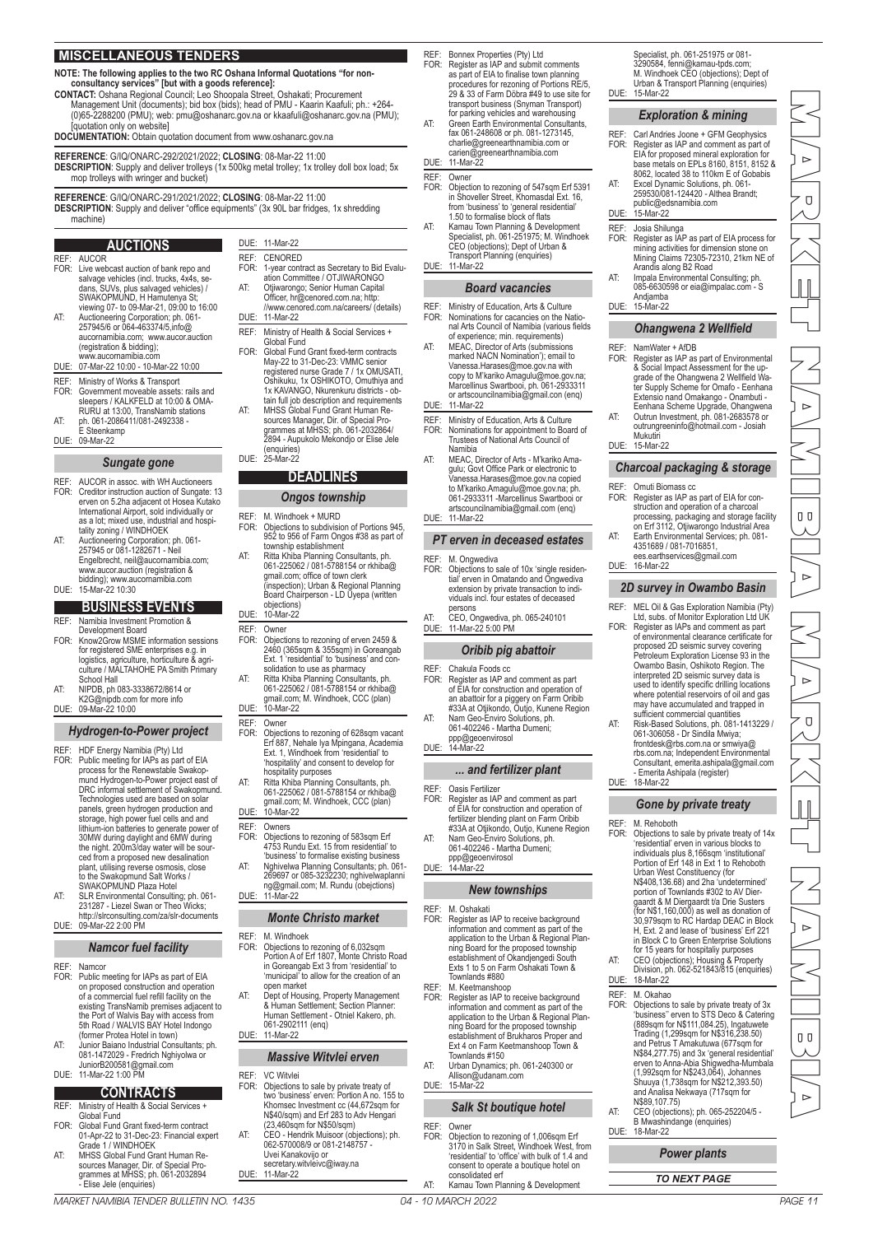## **MISCELLANEOUS TENDERS**

### **NOTE: The following applies to the two RC Oshana Informal Quotations "for non-**

**consultancy services" [but with a goods reference]:**

- **CONTACT:** Oshana Regional Council; Leo Shoopala Street, Oshakati; Procurement Management Unit (documents); bid box (bids); head of PMU - Kaarin Kaafuli; ph.: +264- (0)65-2288200 (PMU); web: pmu@oshanarc.gov.na or kkaafuli@oshanarc.gov.na (PMU); [quotation only on website]
- **DOCUMENTATION:** Obtain quotation document from www.oshanarc.gov.na

**REFERENCE**: G/IQ/ONARC-292/2021/2022; **CLOSING**: 08-Mar-22 11:00 **DESCRIPTION**: Supply and deliver trolleys (1x 500kg metal trolley; 1x trolley doll box load; 5x mop trolleys with wringer and bucket)

> DUE: 11-Mar-22 REF: CENORED<br>FOR: 1-year.cont

DUE: 11-Mar-22

(enquiries) DUE: 25-Mar-22

objections) DUE: 10-Mar-22 REF: Owner<br>FOR: Objecti

REF: Owner<br>FOR: Object

REF: Owners

DUE: 11-Mar-22

REF: M. Windhoek<br>FOR: Objections to

DUE: 11-Mar-22

REF: VC Witvlei<br>FOR: Objections

DUE: 11-Mar-22

open market

061-2902111 (enq)

REF: M. Windhoek + MURD<br>FOR: Objections to subdivisi

FOR: 1-year contract as Secretary to Bid Evaluation Committee / OTJIWARONGO AT: Otjiwarongo; Senior Human Capital Officer, hr@cenored.com.na; http: //www.cenored.com.na/careers/ (details)

REF: Ministry of Health & Social Services + Global Fund FOR: Global Fund Grant fixed-term contracts May-22 to 31-Dec-23: VMMC senior registered nurse Grade 7 / 1x OMUSATI, Oshikuku, 1x OSHIKOTO, Omuthiya and 1x KAVANGO, Nkurenkuru districts - ob-tain full job description and requirements

AT: MHSS Global Fund Grant Human Re-sources Manager, Dir. of Special Pro-grammes at MHSS; ph. 061-2032864/ 2894 - Aupukolo Mekondjo or Elise Jele

**DEADLINES** *Ongos township*

township establishment AT: Ritta Khiba Planning Consultants, ph. 061-225062 / 081-5788154 or rkhiba@ gmail.com; office of town clerk (inspection); Urban & Regional Planning

FOR: Objections to rezoning of erven 2459 & 2460 (365sqm & 355sqm) in Goreangab Ext. 1 'residential' to 'business' and consolidation to use as pharmacy AT: Ritta Khiba Planning Consultants, ph. 061-225062 / 081-5788154 or rkhiba@ gmail.com; M. Windhoek, CCC (plan) DUE: 10-Mar-22

> FOR: Objections to rezoning of 628sqm vacant Erf 887, Nehale lya Mpingana, Academia Ext. 1, Windhoek from 'residential' to 'hospitality' and consent to develop for

hospitality purposes AT: Ritta Khiba Planning Consultants, ph. 061-225062 / 081-5788154 or rkhiba@ gmail.com; M. Windhoek, CCC (plan) DUE: 10-Mar-22

FOR: Objections to rezoning of 583sqm Erf 4753 Rundu Ext. 15 from residential' to 'business' to formalise existing business AT: Nghivelwa Planning Consultants; ph. 061- 269697 or 085-3232230; nghivelwaplanni ng@gmail.com; M. Rundu (obejctions)

*Monte Christo market*

FOR: Objections to rezoning of 6,032sqm Portion A of Erf 1807, Monte Christo Road in Goreangab Ext 3 from 'residential' to 'municipal' to allow for the creation of an

AT: Dept of Housing, Property Management & Human Settlement; Section Planner: Human Settlement - Otniel Kakero, ph.

*Massive Witvlei erven*

FOR: Objections to sale by private treaty of two 'business' erven: Portion A no. 155 to Khomsec Investment cc (44,672sqm for Nhomsee investment ed (44,07 Zsqm re<br>N\$40/sqm) and Erf 283 to Adv Hengari (23,460sqm for N\$50/sqm) AT: CEO - Hendrik Muisoor (objections); ph. 062-570008/9 or 081-2148757 - Uvei Kanakovijo or secretary.witvleivc@iway.na

Board Chairperson - LD Uyepa (written

M. Windhock World Diplomation of Portions 945 952 to 956 of Farm Ongos #38 as part of

**REFERENCE**: G/IQ/ONARC-291/2021/2022; **CLOSING**: 08-Mar-22 11:00

**DESCRIPTION**: Supply and deliver "office equipments" (3x 90L bar fridges, 1x shredding machine)

#### **AUCTIONS**

- REF: AUCOR<br>FOR: Live well FOR: Live webcast auction of bank repo and salvage vehicles (incl. trucks, 4x4s, se-dans, SUVs, plus salvaged vehicles) / SWAKOPMUND, H Hamutenya St viewing 07- to 09-Mar-21, 09:00 to 16:00 AT: Auctioneering Corporation; ph. 061- 257945/6 or 064-463374/5,info@
- aucornamibia.com; www.aucor.auction (registration & bidding); www.aucornamibia.com
- DUE: 07-Mar-22 10:00 10-Mar-22 10:00
- REF: Ministry of Works & Transport FOR: Government moveable assets: rails and sleepers / KALKFELD at 10:00 & OMA-
- RURU at 13:00, TransNamib stations AT: ph. 061-2086411/081-2492338 E Steenkamp
- DUE: 09-Mar-22

#### *Sungate gone*

- REF: AUCOR in assoc. with WH Auctioneers<br>FOR: Creditor instruction auction of Sungate: Creditor instruction auction of Sungate: 13 erven on 5.2ha adjacent ot Hosea Kutako International Airport, sold individually or as a lot; mixed use, industrial and hospi-tality zoning / WINDHOEK
- AT: Auctioneering Corporation; ph. 061- 257945 or 081-1282671 Neil Engelbrecht, neil@aucornamibia.com; www.aucor.auction (registration & bidding); www.aucornamibia.com DUE: 15-Mar-22 10:30

## **BUSINESS EVENTS**

- REF: Namibia Investment Promotion & Development Board
- FOR: Know2Grow MSME information sessions for registered SME enterprises e.g. in logistics, agriculture, horticulture & agriculture / MALTAHOHE PA Smith Primary School Hall
- AT: NIPDB, ph 083-3338672/8614 or
- K2G@nipdb.com for more info DUE: 09-Mar-22 10:00

## *Hydrogen-to-Power project*

- REF: HDF Energy Namibia (Pty) Ltd<br>FOR: Public meeting for IAPs as part FOR: Public meeting for IAPs as part of EIA process for the Renewstable Swakop-mund Hydrogen-to-Power project east of DRC informal settlement of Swakopmund. Technologies used are based on solar panels, green hydrogen production and storage, high power fuel cells and and lithium-ion batteries to generate power of 30MW during daylight and 6MW during the night. 200m3/day water will be sourced from a proposed new desalination plant, utilising reverse osmosis, close to the Swakopmund Salt Works / SWAKOPMUND Plaza Hotel
- AT: SLR Environmental Consulting; ph. 061- 231287 Liezel Swan or Theo Wicks; http://slrconsulting.com/za/slr-documents DUE: 09-Mar-22 2:00 PM

#### *Namcor fuel facility*

- 
- REF: Namcor<br>FOR: Public n FOR: Public meeting for IAPs as part of EIA on proposed construction and operation of a commercial fuel refill facility on the existing TransNamib premises adjacent to the Port of Walvis Bay with access from 5th Road / WALVIS BAY Hotel Indongo (former Protea Hotel in town)
- AT: Junior Baiano Industrial Consultants; ph. 081-1472029 Fredrich Nghiyolwa or JuniorB200581@gmail.com DUE: 11-Mar-22 1:00 PM

- **CONTRACTS**
- REF: Ministry of Health & Social Services + Global Fund FOR: Global Fund Grant fixed-term contract
- 01-Apr-22 to 31-Dec-23: Financial expert Grade 1 / WINDHOEK
- AT: MHSS Global Fund Grant Human Re-sources Manager, Dir. of Special Pro-grammes at MHSS; ph. 061-2032894 - Elise Jele (enquiries)

REF: Bonnex Properties (Pty) Ltd<br>FOR: Register as IAP and submit

- FOR: Register as IAP and submit comments as part of EIA to finalise town planning procedures for rezoning of Portions RE/5, 29 & 33 of Farm Döbra #49 to use site for transport business (Snyman Transport) for parking vehicles and warehousing AT: Green Earth Environmental Consultants, fax 061-248608 or ph. 081-1273145,
- charlie@greenearthnamibia.com or carien@greenearthnamibia.com DUE: 11-Mar-22

## REF: Owner<br>FOR: Object

- FOR: Objection to rezoning of 547sqm Erf 5391<br>in Shoveller Street, Khomsadal Ext. 16,<br>from 'business' to 'general residential'<br>1.50 to formalise block of flats<br>AT: Kamau Town Planning & Development<br>Specialist, ph. 061-2519
- CEO (objections); Dept of Urban & Transport Planning (enquiries) DUE: 11-Mar-22

#### *Board vacancies*

- REF: Ministry of Education, Arts & Culture<br>FOR: Nominations for cacancies on the Na FOR: Nominations for cacancies on the Natio-nal Arts Council of Namibia (various fields
- of experience; min. requirements) AT: MEAC, Director of Arts (submissions marked NACN Nomination'); email to Vanessa.Harases@moe.gov.na with
- copy to M'kariko Amagulu@moe.gov.na; Marcellinus Swartbooi, ph. 061-2933311 or artscouncilnamibia@gmail.con (enq)
- DUE: 11-Mar-22
- REF: Ministry of Education, Arts & Culture<br>FOR: Nominations for annointment to Boar FOR: Nominations for appointment to Board of Trustees of National Arts Council of Namibia
- AT: MEAC, Director of Arts M'kariko Amagulu; Govt Office Park or electronic to Vanessa.Harases@moe.gov.na copied to M'kariko.Amagulu@moe.gov.na; ph. 061-2933311 -Marcellinus Swartbooi or artscouncilnamibia@gmail.com (enq) DUE: 11-Mar-22

## *PT erven in deceased estates*

- REF: M. Ongwediva<br>FOR: Objections to FOR: Objections to sale of 10x 'single residen-tial' erven in Omatando and Ongwediva extension by private transaction to individuals incl. four estates of deceased persons
- AT: CEO, Ongwediva, ph. 065-240101 DUE: 11-Mar-22 5:00 PM

#### *Oribib pig abattoir*

- REF: Chakula Foods cc<br>FOR: Register as IAP ar
- FOR: Register as IAP and comment as part of EIA for construction and operation of an abattoir for a piggery on Farm Oribib #33A at Otjikondo, Outjo, Kunene Region AT: Nam Geo-Enviro Solutions, ph. 061-402246 - Martha Dumen
- ppp@geoenvirosol DUE: 14-Mar-22

#### *... and fertilizer plant*

- 
- REF: Oasis Fertilizer FOR: Register as IAP and comment as part of EIA for construction and operation of fertilizer blending plant on Farm Oribib #33A at Otjikondo, Outjo, Kunene Region AT: Nam Geo-Enviro Solutions, ph. 061-402246 - Martha Dumeni;
- ppp@geoenvirosol
- DUE: 14-Mar-22

### *New townships*

- REF: M. Oshakat<br>FOR: Register as Form Schanaal<br>Register as IAP to receive background information and comment as part of the application to the Urban & Regional Planning Board for the proposed township establishment of Okandjengedi South Exts 1 to 5 on Farm Oshakati Town &
- Townlands #880 REF: M. Keetmanshoop FOR: Register as IAP to receive background information and comment as part of the application to the Urban & Regional Plan-ning Board for the proposed township establishment of Brukharos Proper and Ext 4 on Farm Keetmanshoop Town & Townlands #150
- AT: Urban Dynamics; ph. 061-240300 or Allison@udanam.com DUE: 15-Mar-22

## *Salk St boutique hotel*

- REF: Owner<br>FOR: Object FOR: Objection to rezoning of 1,006sqm Erf 3170 in Salk Street, Windhoek West, from
	- 'residential' to 'office' with bulk of 1.4 and consent to operate a boutique hotel on consolidated erf AT: Kamau Town Planning & Development

Specialist, ph. 061-251975 or 081- 3290584, fenni@kamau-tpds.com; M. Windhoek CEO (objections); Dept of Urban & Transport Planning (enquiries) DUE: 15-Mar-22

#### *Exploration & mining*

- REF: Carl Andries Joone + GFM Geophysics<br>FOR: Register as IAP and comment as nart of FOR: Register as IAP and comment as part of EIA for proposed mineral exploration for base metals on EPLs 8160, 8151, 8152 & 8062, located 38 to 110km E of Gobabis AT: Excel Dynamic Solutions, ph. 061- 259530/081-124420 - Althea Brandt; public@edsnamibia.com DUE: 15-Mar-22 REF: Josia Shilunga FOR: Register as IAP as part of EIA process for mining activities for dimension stone on Mining Claims 72305-72310, 21km NE of Arandis along B2 Road AT: Impala Environmental Consulting; ph.
- 085-6630598 or eia@impalac.com S Andjamba DUE: 15-Mar-22

#### *Ohangwena 2 Wellfield*

- REF: NamWater + AfDB<br>FOR: Register as IAP as Register as IAP as part of Environmental & Social Impact Assessment for the up-grade of the Ohangwena 2 Wellfield Wa-ter Supply Scheme for Omafo - Eenhana
- Extensio nand Omakango Onambuti Eenhana Scheme Upgrade, Ohangwena AT: Outrun Investment, ph. 081-2683578 or outrungreeninfo@hotmail.com - Josiah
- Mukutir DUE: 15-Mar-22

#### *Charcoal packaging & storage*

- REF: Omuti Biomass cc<br>FOR: Register as IAP as FOR: Register as IAP as part of EIA for con-struction and operation of a charcoal processing, packaging and storage facility on Erf 3112, Otjiwarongo Industrial Area
- AT: Earth Environmental Services; ph. 081- 4351689 / 081-7016851, ees.earthservices@gmail.com DUE: 16-Mar-22

## *2D survey in Owambo Basin*

- REF: MEL Oil & Gas Exploration Namibia (Pty) Ltd, subs. of Monitor Exploration Ltd UK FOR: Register as IAPs and comment as part
	- of environmental clearance certificate for proposed 2D seismic survey covering Petroleum Exploration License 93 in the Owambo Basin, Oshikoto Region. The interpreted 2D seismic survey data is used to identify specific drilling locations where potential reservoirs of oil and gas may have accumulated and trapped in sufficient commercial quantities
- AT: Risk-Based Solutions, ph. 081-1413229 / 061-306058 Dr Sindila Mwiya; frontdesk@rbs.com.na or smwiya@ rbs.com.na; Independent Environmental Consultant, emerita.ashipala@gmail.com - Emerita Ashipala (register) DUE: 18-Mar-22

#### *Gone by private treaty*

## REF: M. Rehoboth<br>FOR: Objections to

- FOR: Objections to sale by private treaty of 14x 'residential' erven in various blocks to individuals plus 8,166sqm 'institutional' Portion of Erf 148 in Ext 1 to Rehoboth Urban West Constituency (for N\$408,136.68) and 2ha 'undetermined' portion of Townlands #302 to AV Dier-gaardt & M Diergaardt t/a Drie Susters (for N\$1,160,000) as well as donation of 30,979sqm to RC Hardap DEAC in Block H, Ext. 2 and lease of 'business' Erf 221 in Block C to Green Enterprise Solutions for 15 years for hospitaliy purposes AT: CEO (objections); Housing & Property Division, ph. 062-521843/815 (enquiries) DUE: 18-Mar-22
- 
- REF: M. Okahao<br>FOR: Objections FOR: Objections to sale by private treaty of 3x 'business'' erven to STS Deco & Catering (889sqm for N\$111,084.25), Ingatuwete Trading (1,299sqm for N\$316,238.50) and Petrus T Amakutuwa (677sqm for N\$84,277.75) and 3x 'general residential' erven to Anna-Abia Shigwedha-Mumbala (1,992sqm for N\$243,064), Johannes Shuuya (1,738sqm for N\$212,393.50) and Analisa Nekwaya (717sqm for
- N\$89,107.75) AT: CEO (objections); ph. 065-252204/5 B Mwashindange (enquiries) DUE: 18-Mar-22

## *Power plants*

PAGE 10 04 - 10 MARCH 2022 MARKET NAMIBIA TENDER BULLETIN NO. 1435 MARKET NAMIBIA TENDER BULLETIN NO. 1435 04 - 10 MARCH 2022 PAGE 11 MARKET NAMIBIA MARKET NAMIBIA